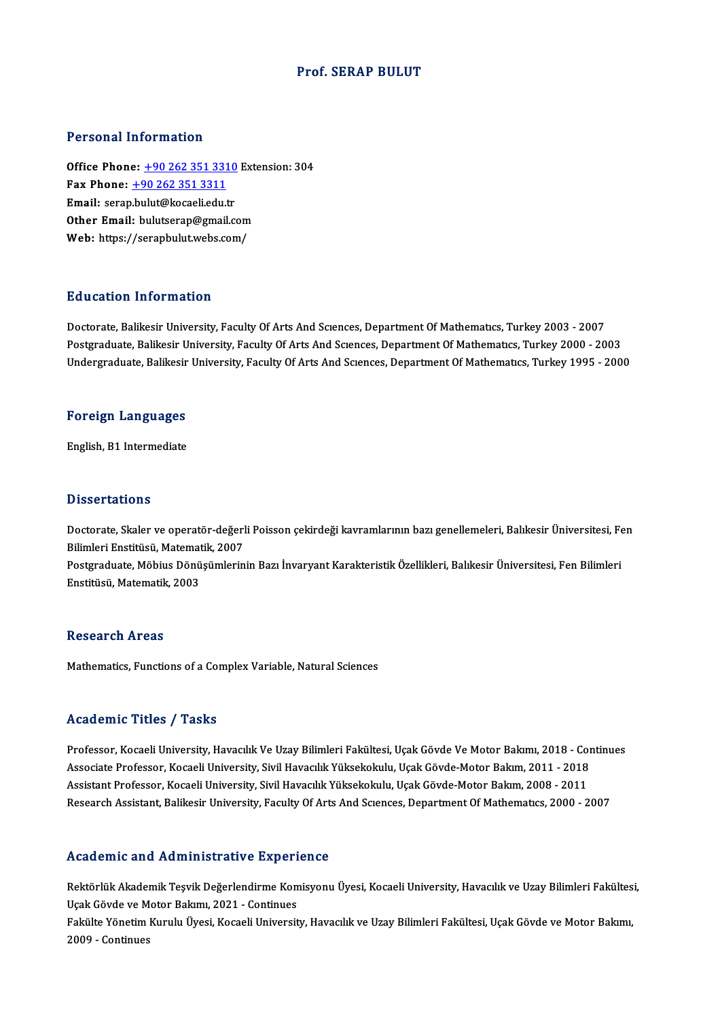#### Prof. SERAP BULUT

#### Personal Information

Office Phone: +90 262 351 3310 Extension: 304 1 0100111 11101 1111011<br>
0ffice Phone: <u>+90 262 351 331</u><br>
Fax Phone: <u>+90 262 351 3311</u><br>
Email: seren bulut@kesseliedu.t Office Phone: <u>+90 262 351 3310</u><br>Fax Phone: <u>+90 262 351 3311</u><br>Email: serap[.bulut@kocaeli.edu](tel:+90 262 351 3311)[.tr](tel:+90 262 351 3310) Email: serap.bulut@kocaeli.edu.tr<br>Other Email: bulutserap@gmail.com Web: https://serapbulut.webs.com/

#### Education Information

Education Information<br>Doctorate, Balikesir University, Faculty Of Arts And Sciences, Department Of Mathematics, Turkey 2003 - 2007<br>Postsraduate Palikesir University, Faculty Of Arts And Sciences, Department Of Mathematics, Put decessor Timot interest<br>Doctorate, Balikesir University, Faculty Of Arts And Sciences, Department Of Mathematics, Turkey 2003 - 2007<br>Undergraduate, Balikesir University, Faculty Of Arts And Sciences, Department Of Math Doctorate, Balikesir University, Faculty Of Arts And Sciences, Department Of Mathematics, Turkey 2003 - 2007<br>Postgraduate, Balikesir University, Faculty Of Arts And Sciences, Department Of Mathematics, Turkey 2000 - 2003<br>U

# <sub>ondergraduate, Bankesir</sub><br>Foreign Languages F<mark>oreign Languages</mark><br>English, B1 Intermediate

English, B1 Intermediate<br>Dissertations

Dissertations<br>Doctorate, Skaler ve operatör-değerli Poisson çekirdeği kavramlarının bazı genellemeleri, Balıkesir Üniversitesi, Fen<br>Bilimleri Enstitüsü, Matamatik, 2007 Bilimleri<br>Bilimleri Enstitüsü, Matematik, 2007<br>Bestareduate, Mähius Dönüsümlerin Doctorate, Skaler ve operatör-değerli Poisson çekirdeği kavramlarının bazı genellemeleri, Balıkesir Üniversitesi, Fe<br>Bilimleri Enstitüsü, Matematik, 2007<br>Postgraduate, Möbius Dönüşümlerinin Bazı İnvaryant Karakteristik Öze

Bilimleri Enstitüsü, Matematik, 2007<br>Postgraduate, Möbius Dönüşümlerinin Bazı İnvaryant Karakteristik Özellikleri, Balıkesir Üniversitesi, Fen Bilimleri<br>Enstitüsü, Matematik, 2003

#### **Research Areas**

Mathematics, Functions of a Complex Variable, Natural Sciences

#### Academic Titles / Tasks

Academic Titles / Tasks<br>Professor, Kocaeli University, Havacılık Ve Uzay Bilimleri Fakültesi, Uçak Gövde Ve Motor Bakımı, 2018 - Continues<br>Assesiste Professor, Kosaeli University, Sivil Havasılık Vülsekolullu, Usak Gövde M Associate Artice 7 Austie<br>Professor, Kocaeli University, Havacılık Ve Uzay Bilimleri Fakültesi, Uçak Gövde Ve Motor Bakımı, 2018 - Cor<br>Associate Professor, Kocaeli University, Sivil Havacılık Yüksekokulu, Uçak Gövde-Motor Professor, Kocaeli University, Havacılık Ve Uzay Bilimleri Fakültesi, Uçak Gövde Ve Motor Bakımı, 2018 - Co.<br>Associate Professor, Kocaeli University, Sivil Havacılık Yüksekokulu, Uçak Gövde-Motor Bakım, 2011 - 2018<br>Assista Associate Professor, Kocaeli University, Sivil Havacılık Yüksekokulu, Uçak Gövde-Motor Bakım, 2011 - 2018<br>Assistant Professor, Kocaeli University, Sivil Havacılık Yüksekokulu, Uçak Gövde-Motor Bakım, 2008 - 2011<br>Research A Research Assistant, Balikesir University, Faculty Of Arts And Sciences, Department Of Mathematics, 2000 - 2007<br>Academic and Administrative Experience

Academic and Administrative Experience<br>Rektörlük Akademik Teşvik Değerlendirme Komisyonu Üyesi, Kocaeli University, Havacılık ve Uzay Bilimleri Fakültesi,<br>Hark Göyde ve Meter Belamu 2021, Centinues Technolomic dina Traministature dina technolomic<br>Rektörlük Akademik Teşvik Değerlendirme Kon<br>Uçak Gövde ve Motor Bakımı, 2021 - Continues Rektörlük Akademik Teşvik Değerlendirme Komisyonu Üyesi, Kocaeli University, Havacılık ve Uzay Bilimleri Fakültes<br>Uçak Gövde ve Motor Bakımı, 2021 - Continues<br>Fakülte Yönetim Kurulu Üyesi, Kocaeli University, Havacılık ve

Uçak Gövde ve Motor Bakımı, 2021 - Continues<br>Fakülte Yönetim Kurulu Üyesi, Kocaeli University, Havacılık ve Uzay Bilimleri Fakültesi, Uçak Gövde ve Motor Bakımı,<br>2009 - Continues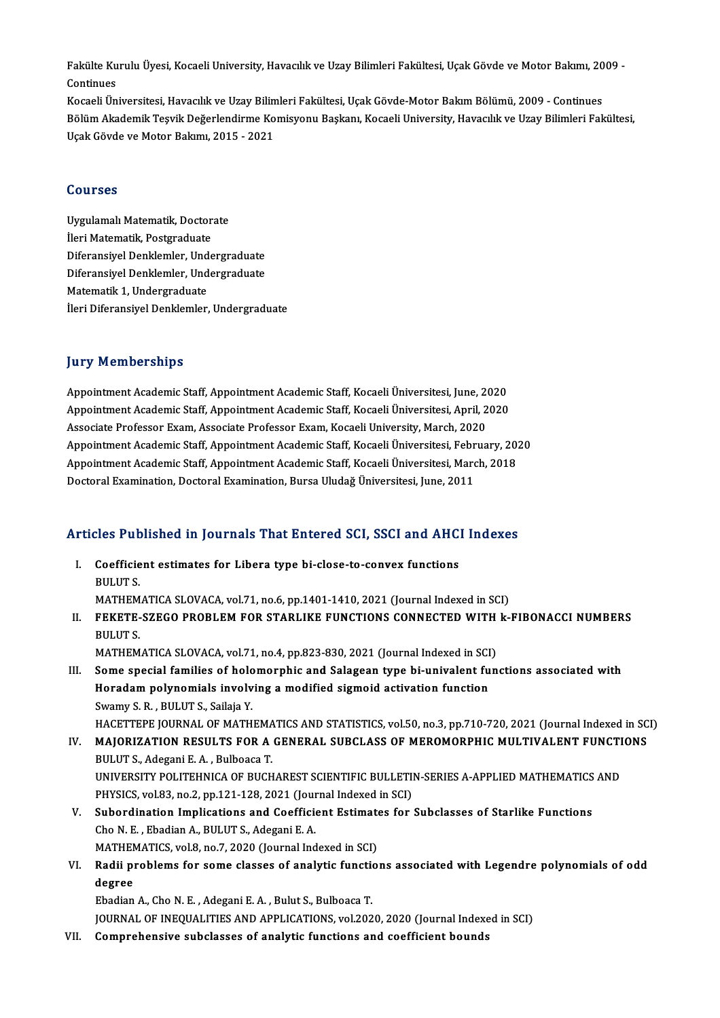Fakülte Kurulu Üyesi, Kocaeli University, Havacılık ve Uzay Bilimleri Fakültesi, Uçak Gövde ve Motor Bakımı, 2009 -<br>Centinues Fakülte Ku<br>Continues<br>Kosaeli Ün Fakülte Kurulu Üyesi, Kocaeli University, Havacılık ve Uzay Bilimleri Fakültesi, Uçak Gövde ve Motor Bakımı, 20<br>Continues<br>Kocaeli Üniversitesi, Havacılık ve Uzay Bilimleri Fakültesi, Uçak Gövde-Motor Bakım Bölümü, 2009 - C

Continues<br>Kocaeli Üniversitesi, Havacılık ve Uzay Bilimleri Fakültesi, Uçak Gövde-Motor Bakım Bölümü, 2009 - Continues<br>Bölüm Akademik Teşvik Değerlendirme Komisyonu Başkanı, Kocaeli University, Havacılık ve Uzay Bilimleri Kocaeli Üniversitesi, Havacılık ve Uzay Bilin<br>Bölüm Akademik Teşvik Değerlendirme Ko<br>Uçak Gövde ve Motor Bakımı, 2015 - 2021 Uçak Gövde ve Motor Bakımı, 2015 - 2021<br>Courses

Uygulamalı Matematik, Doctorate İleri Matematik, Postgraduate Uygulamalı Matematik, Doctorate<br>İleri Matematik, Postgraduate<br>Diferansiyel Denklemler, Undergraduate<br>Diferansiyel Denklemler, Undergraduate Diferansiyel Denklemler, Undergraduate<br>Matematik 1, Undergraduate Diferansiyel Denklemler, Und<br>Diferansiyel Denklemler, Und<br>Matematik 1, Undergraduate<br><sup>Heri</sup> Diferansiyal Denklemler İleri Diferansiyel Denklemler, Undergraduate

#### **Jury Memberships**

**Jury Memberships<br>Appointment Academic Staff, Appointment Academic Staff, Kocaeli Üniversitesi, June, 2020<br>Appointment Academic Staff, Appointment Academic Staff, Kocaeli Üniversitesi, April, 2020** Appointment Academic Staff, Appointment Academic Staff, Kocaeli Üniversitesi, June, 2020<br>Appointment Academic Staff, Appointment Academic Staff, Kocaeli Üniversitesi, April, 2020<br>Assesiste Brefessor Fram, Assesiste Prefess Appointment Academic Staff, Appointment Academic Staff, Kocaeli Üniversitesi, June, 20<br>Appointment Academic Staff, Appointment Academic Staff, Kocaeli Üniversitesi, April, 2<br>Associate Professor Exam, Associate Professor Ex Appointment Academic Staff, Appointment Academic Staff, Kocaeli Üniversitesi, April, 2020<br>Associate Professor Exam, Associate Professor Exam, Kocaeli University, March, 2020<br>Appointment Academic Staff, Appointment Academic Associate Professor Exam, Associate Professor Exam, Kocaeli University, March, 2020<br>Appointment Academic Staff, Appointment Academic Staff, Kocaeli Üniversitesi, February, 201<br>Appointment Academic Staff, Appointment Academ Appointment Academic Staff, Appointment Academic Staff, Kocaeli Üniversitesi, Febr<br>Appointment Academic Staff, Appointment Academic Staff, Kocaeli Üniversitesi, Marc<br>Doctoral Examination, Doctoral Examination, Bursa Uludağ

# Doctoral Examination, Doctoral Examination, Bursa Ultidag Universitesi, June, 2011<br>Articles Published in Journals That Entered SCI, SSCI and AHCI Indexes

rticles Published in Journals That Entered SCI, SSCI and AHC<br>I. Coefficient estimates for Libera type bi-close-to-convex functions<br>PULUTS I. Coefficient estimates for Libera type bi-close-to-convex functions<br>BULUT S. Coefficient estimates for Libera type bi-close-to-convex functions<br>BULUT S.<br>MATHEMATICA SLOVACA, vol.71, no.6, pp.1401-1410, 2021 (Journal Indexed in SCI)<br>EEKETE SZECO PROPLEM EOR STARLIKE EUNCTIONS CONNECTED WITH L

II. FEKETE-SZEGO PROBLEM FOR STARLIKE FUNCTIONS CONNECTED WITH k-FIBONACCI NUMBERS<br>BULUT S. MATHEM<br>F<mark>EKETE-</mark><br>BULUT S.<br>MATHEM FEKETE-SZEGO PROBLEM FOR STARLIKE FUNCTIONS CONNECTED WITH<br>BULUT S.<br>MATHEMATICA SLOVACA, vol.71, no.4, pp.823-830, 2021 (Journal Indexed in SCI)<br>Some special families of belomernhis and Salasean tupe bi univelant fun

- III. Some special families of holomorphic and Salagean type bi-univalent functions associated with<br>Horadam polynomials involving a modified sigmoid activation function MATHEMATICA SLOVACA, vol.71, no.4, pp.823-830, 2021 (Journal Indexed in SCI<br>Some special families of holomorphic and Salagean type bi-univalent fu<br>Horadam polynomials involving a modified sigmoid activation function<br>Sygmy Swamy S.R., BULUT S., Sailaja Y. HACETTEPE JOURNAL OF MATHEMATICS AND STATISTICS, vol.50, no.3, pp.710-720, 2021 (Journal Indexed in SCI)
- Swamy S. R. , BULUT S., Sailaja Y.<br>HACETTEPE JOURNAL OF MATHEMATICS AND STATISTICS, vol.50, no.3, pp.710-720, 2021 (Journal Indexed in SC<br>IV. MAJORIZATION RESULTS FOR A GENERAL SUBCLASS OF MEROMORPHIC MULTIVALENT FUNCTIONS BULUTS.,AdeganiE.A. ,BulboacaT. MAJORIZATION RESULTS FOR A GENERAL SUBCLASS OF MEROMORPHIC MULTIVALENT FUNCTI<br>BULUT S., Adegani E. A. , Bulboaca T.<br>UNIVERSITY POLITEHNICA OF BUCHAREST SCIENTIFIC BULLETIN-SERIES A-APPLIED MATHEMATICS AND<br>BUYSICS xpl 83, n UNIVERSITY POLITEHNICA OF BUCHAREST SCIENTIFIC BULLETIN-SERIES A-APPLIED MATHEMATICS AND<br>PHYSICS, vol.83, no.2, pp.121-128, 2021 (Journal Indexed in SCI) UNIVERSITY POLITEHNICA OF BUCHAREST SCIENTIFIC BULLETIN-SERIES A-APPLIED MATHEMATICS<br>PHYSICS, vol.83, no.2, pp.121-128, 2021 (Journal Indexed in SCI)<br>V. Subordination Implications and Coefficient Estimates for Subclasses o
- PHYSICS, vol.83, no.2, pp.121-128, 2021 (Journal Subordination Implications and Coefficientle Cho N. E. , Ebadian A., BULUT S., Adegani E. A. Subordination Implications and Coefficient Estimate<br>Cho N. E. , Ebadian A., BULUT S., Adegani E. A.<br>MATHEMATICS, vol.8, no.7, 2020 (Journal Indexed in SCI)<br>Podii problems for some classes of anglytic function Cho N. E. , Ebadian A., BULUT S., Adegani E. A.<br>MATHEMATICS, vol.8, no.7, 2020 (Journal Indexed in SCI)<br>VI. Radii problems for some classes of analytic functions associated with Legendre polynomials of odd<br>degree
- MATHEN<br><mark>Radii p</mark>i<br>degree<br><sup>Ehadian</sup> Radii problems for some classes of analytic function<br>degree<br>Ebadian A., Cho N. E. , Adegani E. A. , Bulut S., Bulboaca T.<br>JOURNAL OF INFOUALITIES AND APRLICATIONS, vol.202 degree<br>Ebadian A., Cho N. E. , Adegani E. A. , Bulut S., Bulboaca T.<br>JOURNAL OF INEQUALITIES AND APPLICATIONS, vol.2020, 2020 (Journal Indexed in SCI)<br>Comprehensive subslasses of apalytic functions and coefficient bounds.

Ebadian A., Cho N. E. , Adegani E. A. , Bulut S., Bulboaca T.<br>JOURNAL OF INEQUALITIES AND APPLICATIONS, vol.2020, 2020 (Journal Indexe<br>VII. Comprehensive subclasses of analytic functions and coefficient bounds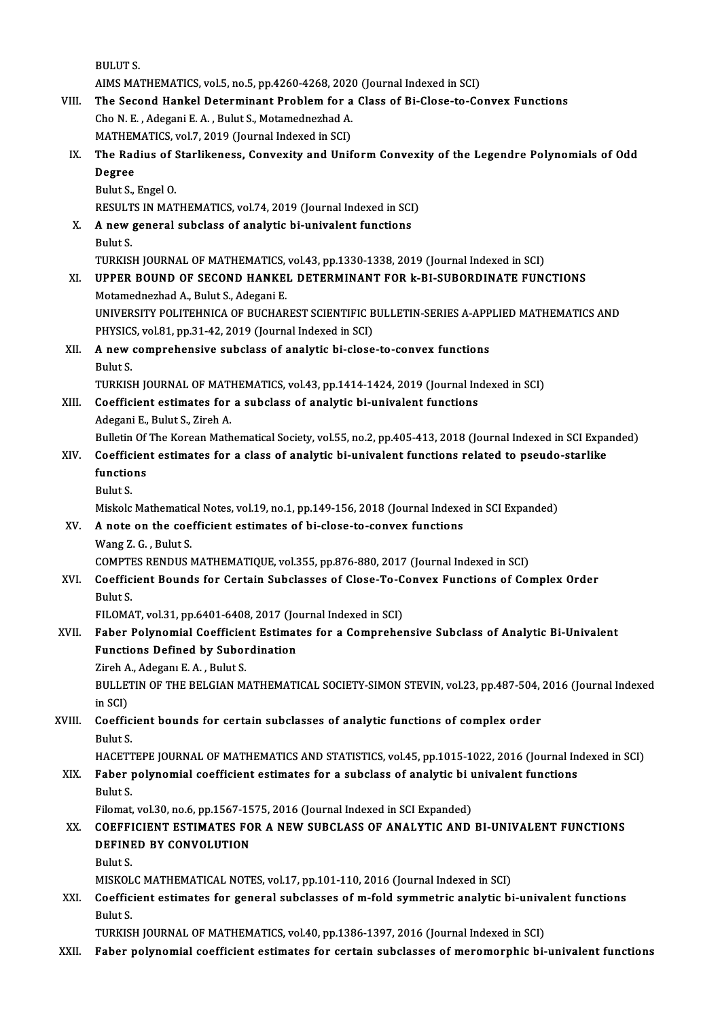BULUTS. BULUT S.<br>AIMS MATHEMATICS, vol.5, no.5, pp.4260-4268, 2020 (Journal Indexed in SCI)<br>The Sesend Hankel Determinent Preblem for a Glass of Bi Glase to Go VIII. The Second Hankel Determinant Problem for a Class of Bi-Close-to-Convex Functions<br>Cho N. E. . Adegani E. A. . Bulut S.. Motamednezhad A. AIMS MATHEMATICS, vol.5, no.5, pp.4260-4268, 2020<br>The Second Hankel Determinant Problem for a<br>Cho N. E. , Adegani E. A. , Bulut S., Motamednezhad A.<br>MATHEMATICS, vol.7, 2019 (Journal Indoved in SCD) The Second Hankel Determinant Problem for a<br>Cho N. E. , Adegani E. A. , Bulut S., Motamednezhad A.<br>MATHEMATICS, vol.7, 2019 (Journal Indexed in SCI)<br>The Badius of Starlikeness, Convexity and Unif Cho N. E. , Adegani E. A. , Bulut S., Motamednezhad A.<br>MATHEMATICS, vol.7, 2019 (Journal Indexed in SCI)<br>IX. The Radius of Starlikeness, Convexity and Uniform Convexity of the Legendre Polynomials of Odd<br>Degree MATHEN<br>The Rac<br>Degree<br><sup>Pulut S</sup> The Radius of !<br>Degree<br>Bulut S., Engel O.<br>PESIII TS IN MAT Degree<br>Bulut S., Engel O.<br>RESULTS IN MATHEMATICS, vol.74, 2019 (Journal Indexed in SCI)<br>A now general subglass of analytis bi univalent functions. Bulut S., Engel O.<br>RESULTS IN MATHEMATICS, vol.74, 2019 (Journal Indexed in SCI<br>X. A new general subclass of analytic bi-univalent functions<br>Rulut S RESULT<br>**A** new <sub>{</sub><br>Bulut S. TURKISH JOURNAL OF MATHEMATICS, vol.43, pp.1330-1338, 2019 (Journal Indexed in SCI) XI. UPPER BOUND OF SECOND HANKEL DETERMINANT FOR k-BI-SUBORDINATE FUNCTIONS Motamednezhad A., Bulut S., Adegani E. UPPER BOUND OF SECOND HANKEL DETERMINANT FOR k-BI-SUBORDINATE FUNCTIONS<br>Motamednezhad A., Bulut S., Adegani E.<br>UNIVERSITY POLITEHNICA OF BUCHAREST SCIENTIFIC BULLETIN-SERIES A-APPLIED MATHEMATICS AND<br>BHYSICS xpl 81 np 31 4 Motamednezhad A., Bulut S., Adegani E.<br>UNIVERSITY POLITEHNICA OF BUCHAREST SCIENTIFIC B<br>PHYSICS, vol.81, pp.31-42, 2019 (Journal Indexed in SCI)<br>A new comprehensive subelass of analytis bi-sleas XII. A new comprehensive subclass of analytic bi-close-to-convex functions<br>Bulut S. PHYSICS, vol.81, pp.31-42, 2019 (Journal Indexed in SCI) A new comprehensive subclass of analytic bi-close-to-convex functions<br>Bulut S.<br>TURKISH JOURNAL OF MATHEMATICS, vol.43, pp.1414-1424, 2019 (Journal Indexed in SCI)<br>Coefficient estimates for a subgless of analytic bi-univela XIII. Coefficient estimates for a subclass of analytic bi-univalent functions<br>Adegani E., Bulut S., Zireh A. TURKISH JOURNAL OF MATI<br>Coefficient estimates for<br>Adegani E., Bulut S., Zireh A.<br>Bulletin Of The Kerean Math Bulletin Of The Korean Mathematical Society, vol.55, no.2, pp.405-413, 2018 (Journal Indexed in SCI Expanded) Adegani E., Bulut S., Zireh A.<br>Bulletin Of The Korean Mathematical Society, vol.55, no.2, pp.405-413, 2018 (Journal Indexed in SCI Expa<br>XIV. Coefficient estimates for a class of analytic bi-univalent functions related Bulletin Of<br>Coefficien<br>functions<br>Pulut S Coeffic<br>functio<br>Bulut S.<br>Miskels functions<br>Bulut S.<br>Miskolc Mathematical Notes, vol.19, no.1, pp.149-156, 2018 (Journal Indexed in SCI Expanded)<br>A note on the coefficient estimates of bi-sless to senvey functions. Bulut S.<br>Miskolc Mathematical Notes, vol.19, no.1, pp.149-156, 2018 (Journal Indexe<br>XV. A note on the coefficient estimates of bi-close-to-convex functions<br>Wang Z. G., Bulut S. Miskolc Mathematic:<br>**A note on the coe**<br>Wang Z. G. , Bulut S.<br>COMPTES RENDUS I A note on the coefficient estimates of bi-close-to-convex functions<br>Wang Z. G. , Bulut S.<br>COMPTES RENDUS MATHEMATIQUE, vol.355, pp.876-880, 2017 (Journal Indexed in SCI)<br>Coefficient Bounds for Certain Subelesses of Close T XVI. Coefficient Bounds for Certain Subclasses of Close-To-Convex Functions of Complex Order COMPTI<br>Coeffic<br>Bulut S.<br>EU OMA Coefficient Bounds for Certain Subclasses of Close-To-C<br>Bulut S.<br>FILOMAT, vol.31, pp.6401-6408, 2017 (Journal Indexed in SCI)<br>Feber Belunemial Ceefficient Estimates for a Comprehen Bulut S.<br>FILOMAT, vol.31, pp.6401-6408, 2017 (Journal Indexed in SCI)<br>XVII. Faber Polynomial Coefficient Estimates for a Comprehensive Subclass of Analytic Bi-Univalent<br>Functions Defined by Suberdination FILOMAT, vol.31, pp.6401-6408, 2017 (Jo<br>Faber Polynomial Coefficient Estimat<br>Functions Defined by Subordination<br><sup>7inch A</sup>. Adegan E.A., Bulut S Faber Polynomial Coefficier<br>Functions Defined by Subor<br>Zireh A., Adeganı E. A. , Bulut S.<br>PULLETIN OF THE PELCIAN M Functions Defined by Subordination<br>Zireh A., Adeganı E. A. , Bulut S.<br>BULLETIN OF THE BELGIAN MATHEMATICAL SOCIETY-SIMON STEVIN, vol.23, pp.487-504, 2016 (Journal Indexed<br>in SCI) Zireh A., Adeganı E. A., Bulut S. BULLETIN OF THE BELGIAN MATHEMATICAL SOCIETY-SIMON STEVIN, vol.23, pp.487-504,<br>in SCI)<br>XVIII. Coefficient bounds for certain subclasses of analytic functions of complex order<br>Pulut S in SCI)<br>Coeffic<br>Bulut S.<br>HACETT Bulut S.<br>HACETTEPE JOURNAL OF MATHEMATICS AND STATISTICS, vol.45, pp.1015-1022, 2016 (Journal Indexed in SCI) Bulut S.<br>HACETTEPE JOURNAL OF MATHEMATICS AND STATISTICS, vol.45, pp.1015-1022, 2016 (Journal In<br>XIX. Faber polynomial coefficient estimates for a subclass of analytic bi univalent functions<br>Rulyt S HACETT<br>Faber<br>Bulut S.<br><sup>Eilemet</sup> Faber polynomial coefficient estimates for a subclass of analytic bi <mark>u</mark><br>Bulut S.<br>Filomat, vol.30, no.6, pp.1567-1575, 2016 (Journal Indexed in SCI Expanded)<br>COEEEICIENT ESTIMATES FOR A NEW SUBCLASS OF ANALYTIC AND Bulut S.<br>Filomat, vol.30, no.6, pp.1567-1575, 2016 (Journal Indexed in SCI Expanded)<br>XX. COEFFICIENT ESTIMATES FOR A NEW SUBCLASS OF ANALYTIC AND BI-UNIVALENT FUNCTIONS<br>DEEINED BY CONVOLUTION Filomat, vol.30, no.6, pp.1567-1575, 2016 (Journal Indexed in SCI Expanded)<br>COEFFICIENT ESTIMATES FOR A NEW SUBCLASS OF ANALYTIC AND<br>DEFINED BY CONVOLUTION<br>Bulut S. COEFFI<br>DEFINI<br>Bulut S.<br>MISKOL DEFINED BY CONVOLUTION<br>Bulut S.<br>MISKOLC MATHEMATICAL NOTES, vol.17, pp.101-110, 2016 (Journal Indexed in SCI)<br>Coefficient estimates for general subglasses of m fold summatric englutis bi Bulut S.<br>MISKOLC MATHEMATICAL NOTES, vol.17, pp.101-110, 2016 (Journal Indexed in SCI)<br>XXI. Coefficient estimates for general subclasses of m-fold symmetric analytic bi-univalent functions<br>Rulyt S MISKOL<br><mark>Coeffic</mark><br>Bulut S.<br>TUPKIS! Coefficient estimates for general subclasses of m-fold symmetric analytic bi-univa<br>Bulut S.<br>TURKISH JOURNAL OF MATHEMATICS, vol.40, pp.1386-1397, 2016 (Journal Indexed in SCI)<br>Feber polynomial secfficient estimates for ser Bulut S.<br>TURKISH JOURNAL OF MATHEMATICS, vol.40, pp.1386-1397, 2016 (Journal Indexed in SCI)<br>XXII. Faber polynomial coefficient estimates for certain subclasses of meromorphic bi-univalent functions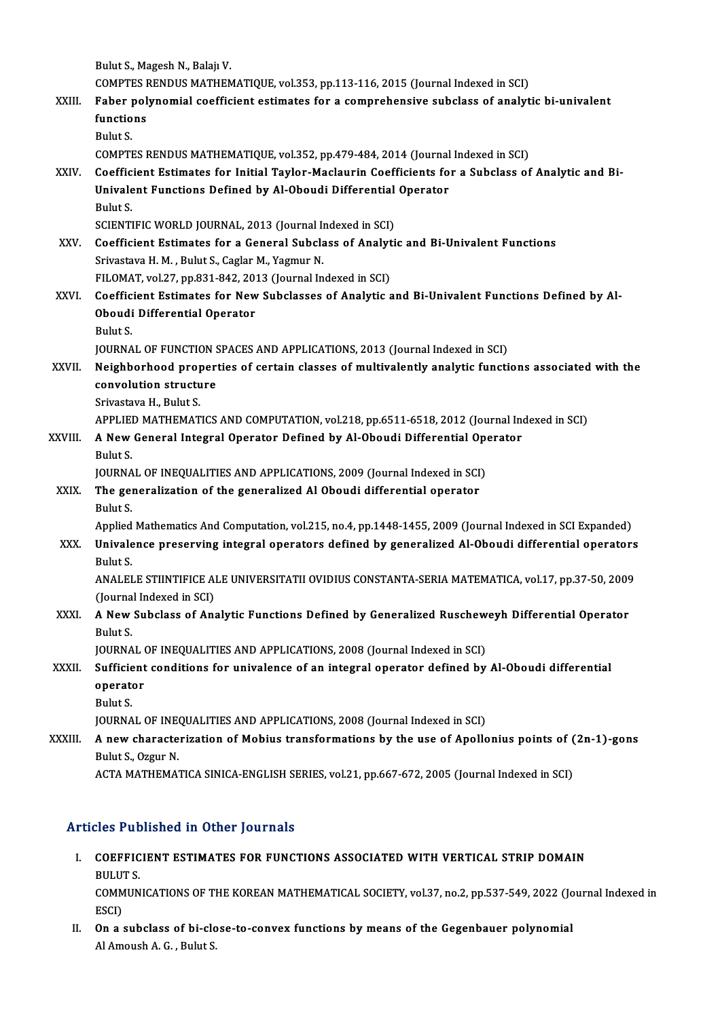|         | Bulut S., Magesh N., Balajı V.                                                                                 |
|---------|----------------------------------------------------------------------------------------------------------------|
|         | COMPTES RENDUS MATHEMATIQUE, vol.353, pp.113-116, 2015 (Journal Indexed in SCI)                                |
| XXIII.  | Faber polynomial coefficient estimates for a comprehensive subclass of analytic bi-univalent                   |
|         | functions                                                                                                      |
|         | Bulut S.                                                                                                       |
|         | COMPTES RENDUS MATHEMATIQUE, vol.352, pp.479-484, 2014 (Journal Indexed in SCI)                                |
| XXIV.   | Coefficient Estimates for Initial Taylor-Maclaurin Coefficients for a Subclass of Analytic and Bi-             |
|         | Univalent Functions Defined by Al-Oboudi Differential Operator                                                 |
|         | Bulut S.                                                                                                       |
|         | SCIENTIFIC WORLD JOURNAL, 2013 (Journal Indexed in SCI)                                                        |
| XXV.    | Coefficient Estimates for a General Subclass of Analytic and Bi-Univalent Functions                            |
|         | Srivastava H. M., Bulut S., Caglar M., Yagmur N.<br>FILOMAT, vol.27, pp.831-842, 2013 (Journal Indexed in SCI) |
| XXVI.   | Coefficient Estimates for New Subclasses of Analytic and Bi-Univalent Functions Defined by Al-                 |
|         | Oboudi Differential Operator                                                                                   |
|         | Bulut S.                                                                                                       |
|         | JOURNAL OF FUNCTION SPACES AND APPLICATIONS, 2013 (Journal Indexed in SCI)                                     |
| XXVII.  | Neighborhood properties of certain classes of multivalently analytic functions associated with the             |
|         | convolution structure                                                                                          |
|         | Srivastava H, Bulut S                                                                                          |
|         | APPLIED MATHEMATICS AND COMPUTATION, vol.218, pp.6511-6518, 2012 (Journal Indexed in SCI)                      |
| XXVIII. | A New General Integral Operator Defined by Al-Oboudi Differential Operator                                     |
|         | Bulut S.                                                                                                       |
|         | JOURNAL OF INEQUALITIES AND APPLICATIONS, 2009 (Journal Indexed in SCI)                                        |
| XXIX.   | The generalization of the generalized Al Oboudi differential operator                                          |
|         | Bulut S.                                                                                                       |
|         | Applied Mathematics And Computation, vol.215, no.4, pp.1448-1455, 2009 (Journal Indexed in SCI Expanded)       |
| XXX.    | Univalence preserving integral operators defined by generalized Al-Oboudi differential operators               |
|         | <b>Bulut S</b>                                                                                                 |
|         | ANALELE STIINTIFICE ALE UNIVERSITATII OVIDIUS CONSTANTA-SERIA MATEMATICA, vol.17, pp.37-50, 2009               |
|         | (Journal Indexed in SCI)                                                                                       |
| XXXI.   | A New Subclass of Analytic Functions Defined by Generalized Ruscheweyh Differential Operator                   |
|         | Bulut S.                                                                                                       |
|         | JOURNAL OF INEQUALITIES AND APPLICATIONS, 2008 (Journal Indexed in SCI)                                        |
| XXXII.  | Sufficient conditions for univalence of an integral operator defined by Al-Oboudi differential                 |
|         | operator<br>Bulut S.                                                                                           |
|         | JOURNAL OF INEQUALITIES AND APPLICATIONS, 2008 (Journal Indexed in SCI)                                        |
| XXXIII. | A new characterization of Mobius transformations by the use of Apollonius points of (2n-1)-gons                |
|         | Bulut S., Ozgur N.                                                                                             |
|         | ACTA MATHEMATICA SINICA-ENGLISH SERIES, vol.21, pp.667-672, 2005 (Journal Indexed in SCI)                      |
|         |                                                                                                                |

#### Articles Published in Other Journals

Tticles Published in Other Journals<br>I. COEFFICIENT ESTIMATES FOR FUNCTIONS ASSOCIATED WITH VERTICAL STRIP DOMAIN SIGS THE<br>COEFFIC<br>BULUTS. COEFFICIENT ESTIMATES FOR FUNCTIONS ASSOCIATED WITH VERTICAL STRIP DOMAIN<br>BULUT S.<br>COMMUNICATIONS OF THE KOREAN MATHEMATICAL SOCIETY, vol.37, no.2, pp.537-549, 2022 (Journal Indexed in<br>ESCD

BULUT<br>COMM<br>ESCI)<br>On a COMMUNICATIONS OF THE KOREAN MATHEMATICAL SOCIETY, vol.37, no.2, pp.537-549, 2022 (Jo<br>ESCI)<br>II. On a subclass of bi-close-to-convex functions by means of the Gegenbauer polynomial<br>Al America A. C. Bulut S.

ESCI)<br>II. On a subclass of bi-close-to-convex functions by means of the Gegenbauer polynomial<br>Al Amoush A. G. , Bulut S.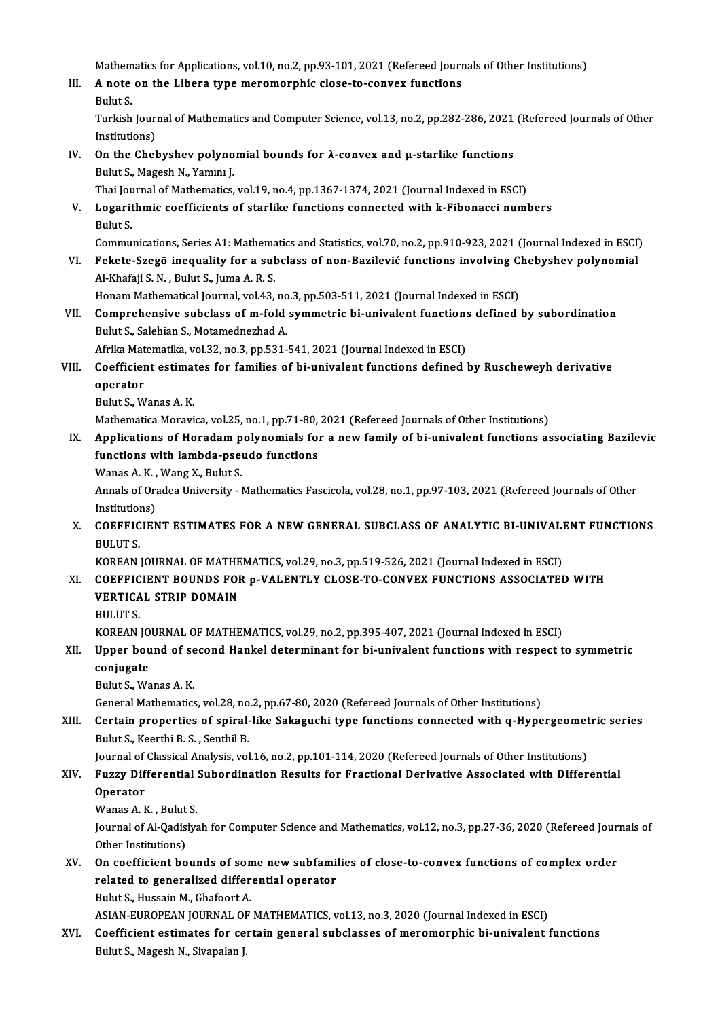Mathematics for Applications, vol.10, no.2, pp.93-101, 2021 (Refereed Journals of Other Institutions)<br>A note on the Libera type menomennhis close to convey functions

III. A note on the Libera type meromorphic close-to-convex functions<br>Bulut S. Mathem<br>**A** note<br>Bulut S.

A note on the Libera type meromorphic close-to-convex functions<br>Bulut S.<br>Turkish Journal of Mathematics and Computer Science, vol.13, no.2, pp.282-286, 2021 (Refereed Journals of Other Bulut S.<br>Turkish Journ<br>Institutions)<br>On the Chol Turkish Journal of Mathematics and Computer Science, vol.13, no.2, pp.282-286, 2021<br>Institutions)<br>IV. On the Chebyshev polynomial bounds for λ-convex and μ-starlike functions<br>Pulut S. Maggeb N. Vamm J

- Institutions)<br>IV. On the Chebyshev polynomial bounds for  $\lambda$ -convex and  $\mu$ -starlike functions<br>Bulut S., Magesh N., Yamını J. On the Chebyshev polynomial bounds for λ-convex and μ-starlike functions<br>Bulut S., Magesh N., Yammı J.<br>Thai Journal of Mathematics, vol.19, no.4, pp.1367-1374, 2021 (Journal Indexed in ESCI)<br>Logarithmia soofficients of st
- V. Logarithmic coefficients of starlike functions connected with k-Fibonacci numbers Thai Jou<br><mark>Logarit</mark><br>Bulut S. Logarithmic coefficients of starlike functions connected with k-Fibonacci numbers<br>Bulut S.<br>Communications, Series A1: Mathematics and Statistics, vol.70, no.2, pp.910-923, 2021 (Journal Indexed in ESCI)<br>Fekste Stesse incou

Bulut S.<br>Communications, Series A1: Mathematics and Statistics, vol.70, no.2, pp.910-923, 2021 (Journal Indexed in ESCI<br>VI. Fekete-Szegö inequality for a subclass of non-Bazilević functions involving Chebyshev polynomial<br>A VI. Fekete-Szegö inequality for a subclass of non-Bazilević functions involving Chebyshev polynomial Al-Khafaji S. N., Bulut S., Juma A. R. S. Fekete-Szegö inequality for a subclass of non-Bazilević functions involving C.<br>Al-Khafaji S. N. , Bulut S., Juma A. R. S.<br>Honam Mathematical Journal, vol.43, no.3, pp.503-511, 2021 (Journal Indexed in ESCI)<br>Comprehensive s

VII. Comprehensive subclass of m-fold symmetric bi-univalent functions defined by subordination<br>Bulut S., Salehian S., Motamednezhad A. Honam Mathematical Journal, vol.43, no<br>Comprehensive subclass of m-fold<br>Bulut S., Salehian S., Motamednezhad A. Comprehensive subclass of m-fold symmetric bi-univalent functions<br>Bulut S., Salehian S., Motamednezhad A.<br>Afrika Matematika, vol.32, no.3, pp.531-541, 2021 (Journal Indexed in ESCI)<br>Coefficient estimates for families of bi

#### Bulut S., Salehian S., Motamednezhad A.<br>Afrika Matematika, vol.32, no.3, pp.531-541, 2021 (Journal Indexed in ESCI)<br>VIII. Coefficient estimates for families of bi-univalent functions defined by Ruscheweyh derivative<br>Approa Afrika Mat<br>Coefficier<br>operator<br><sup>Pubut S. W</sup> Coefficient estimat<br>operator<br>Bulut S., Wanas A. K.<br>Mathamatiaa Marayi operator<br>Bulut S., Wanas A. K.<br>Mathematica Moravica, vol.25, no.1, pp.71-80, 2021 (Refereed Journals of Other Institutions)<br>Applications of Horadam polynomials for a now family of hi univalent functions as

- Bulut S., Wanas A. K.<br>Mathematica Moravica, vol.25, no.1, pp.71-80, 2021 (Refereed Journals of Other Institutions)<br>IX. Applications of Horadam polynomials for a new family of bi-univalent functions associating Bazilevic<br>fu Mathematica Moravica, vol.25, no.1, pp.71-80,<br>Applications of Horadam polynomials for<br>functions with lambda-pseudo functions<br>Wanes A. K., Wang Y., Bulut S. Applications of Horadam p<br>functions with lambda-pset<br>Wanas A. K. , Wang X., Bulut S.<br>Annak of Oradaa University
	-

functions with lambda-pseudo functions<br>Wanas A. K. , Wang X., Bulut S.<br>Annals of Oradea University - Mathematics Fascicola, vol.28, no.1, pp.97-103, 2021 (Refereed Journals of Other **Wanas A. K.,<br>Annals of Oran**<br>Institutions)<br>COEEEICIEN Annals of Oradea University - Mathematics Fascicola, vol.28, no.1, pp.97-103, 2021 (Refereed Journals of Other<br>Institutions)<br>X. COEFFICIENT ESTIMATES FOR A NEW GENERAL SUBCLASS OF ANALYTIC BI-UNIVALENT FUNCTIONS<br>PIU UT S

Institutions)<br>X. COEFFICIENT ESTIMATES FOR A NEW GENERAL SUBCLASS OF ANALYTIC BI-UNIVALENT FUNCTIONS<br>BULUT S.

KOREAN JOURNAL OF MATHEMATICS, vol.29, no.3, pp.519-526, 2021 (Journal Indexed in ESCI)

- XI. COEFFICIENT BOUNDS FOR p-VALENTLY CLOSE-TO-CONVEX FUNCTIONS ASSOCIATED WITH KOREAN JOURNAL OF MATHE<br>COEFFICIENT BOUNDS FOI<br>VERTICAL STRIP DOMAIN<br>PULUTS COEFFIC<br>VERTICA<br>BULUT S.<br>KOREAN VERTICAL STRIP DOMAIN<br>BULUT S.<br>KOREAN JOURNAL OF MATHEMATICS, vol.29, no.2, pp.395-407, 2021 (Journal Indexed in ESCI)<br>Unner hourd of sesend Hankel determinent for his univelant functions with nesnest t
	-

#### BULUT S.<br>KOREAN JOURNAL OF MATHEMATICS, vol.29, no.2, pp.395-407, 2021 (Journal Indexed in ESCI)<br>XII. Upper bound of second Hankel determinant for bi-univalent functions with respect to symmetric<br>conjugate KOREAN JO<br>Upper bou<br>conjugate<br><sup>Pubrt S. Wo</sup> Upper bound of se<br>conjugate<br>Bulut S., Wanas A. K.<br>Conoral Mathematics conjugate<br>Bulut S., Wanas A. K.<br>General Mathematics, vol.28, no.2, pp.67-80, 2020 (Refereed Journals of Other Institutions)

Bulut S., Wanas A. K.<br>General Mathematics, vol.28, no.2, pp.67-80, 2020 (Refereed Journals of Other Institutions)<br>XIII. Certain properties of spiral-like Sakaguchi type functions connected with q-Hypergeometric series<br>Ruly General Mathematics, vol.28, no<br>Certain properties of spiral-<br>Bulut S., Keerthi B. S. , Senthil B.<br>Journal of Classical Analysis vol Certain properties of spiral-like Sakaguchi type functions connected with q-Hypergeomet<br>Bulut S., Keerthi B. S. , Senthil B.<br>Journal of Classical Analysis, vol.16, no.2, pp.101-114, 2020 (Refereed Journals of Other Institu

### Bulut S., Keerthi B. S. , Senthil B.<br>Journal of Classical Analysis, vol.16, no.2, pp.101-114, 2020 (Refereed Journals of Other Institutions)<br>XIV. Fuzzy Differential Subordination Results for Fractional Derivative Assoc Journal of<br><mark>Fuzzy Dif</mark><br>Operator<br><sup>Wongs A L</sub></sup> **Fuzzy Differential<br>Operator<br>Wanas A.K., Bulut S.<br>Journal of Al Oodisive**

Wanas A K, Bulut S

Operator<br>Wanas A. K. , Bulut S.<br>Journal of Al-Qadisiyah for Computer Science and Mathematics, vol.12, no.3, pp.27-36, 2020 (Refereed Journals of<br>Other Institutions) Journal of Al-Qadisiyah for Computer Science and Mathematics, vol.12, no.3, pp.27-36, 2020 (Refereed Jour<br>Other Institutions)<br>XV. On coefficient bounds of some new subfamilies of close-to-convex functions of complex order<br>

#### Other Institutions)<br>On coefficient bounds of some new subfami<br>related to generalized differential operator<br>Pulut S. Hussain M. Chafeart A **On coefficient bounds of son<br>related to generalized differ<br>Bulut S., Hussain M., Ghafoort A.<br>ASIAN EUROPEAN JOURNAL OF** related to generalized differential operator<br>Bulut S., Hussain M., Ghafoort A.<br>ASIAN-EUROPEAN JOURNAL OF MATHEMATICS, vol.13, no.3, 2020 (Journal Indexed in ESCI)

XVI. Coefficient estimates for certain general subclasses of meromorphic bi-univalent functions Bulut S., Magesh N., Sivapalan J.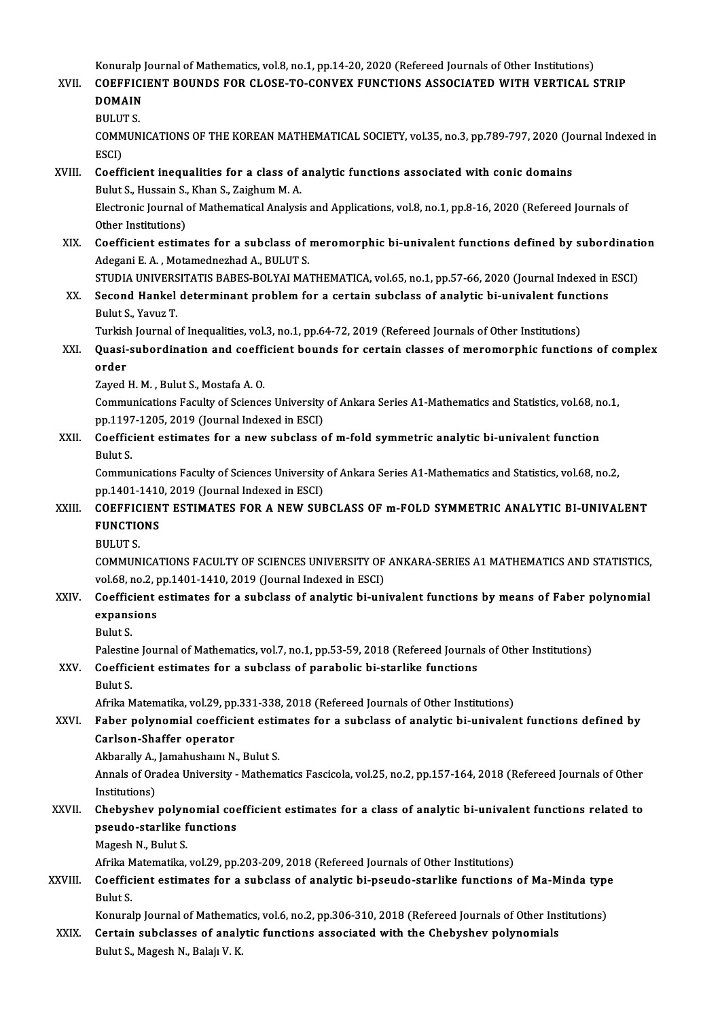Konuralp Journal of Mathematics, vol.8, no.1, pp.14-20, 2020 (Refereed Journals of Other Institutions)<br>COEEEICIENT POUNDS FOR CLOSE TO CONVEY FUNCTIONS ASSOCIATED WITH VERTICAL S

#### Konuralp Journal of Mathematics, vol.8, no.1, pp.14-20, 2020 (Refereed Journals of Other Institutions)<br>XVII. COEFFICIENT BOUNDS FOR CLOSE-TO-CONVEX FUNCTIONS ASSOCIATED WITH VERTICAL STRIP Konuralp<br>COEFFICI<br>DOMAIN<br>PULUTS COEFFICIENT BOUNDS FOR CLOSE-TO-CONVEX FUNCTIONS ASSOCIATED WITH VERTICAL STRIP<br>DOMAIN<br>BULUT S. DOMAIN<br>BULUT S.<br>COMMUNICATIONS OF THE KOREAN MATHEMATICAL SOCIETY, vol.35, no.3, pp.789-797, 2020 (Journal Indexed in<br>ESCD

BULUT<br>COMM<br>ESCI)<br>Cooff COMMUNICATIONS OF THE KOREAN MATHEMATICAL SOCIETY, vol.35, no.3, pp.789-797, 2020 (Jo<br>ESCI)<br>XVIII. Coefficient inequalities for a class of analytic functions associated with conic domains<br>Pulut S. Hussain S. Khan S. Zaisbu

# ESCI)<br>Coefficient inequalities for a class of :<br>Bulut S., Hussain S., Khan S., Zaighum M. A.<br>Electronis Journal of Mathematical Analysi Coefficient inequalities for a class of analytic functions associated with conic domains<br>Bulut S., Hussain S., Khan S., Zaighum M. A.<br>Electronic Journal of Mathematical Analysis and Applications, vol.8, no.1, pp.8-16, 2020

Bulut S., Hussain S.,<br>Electronic Journal<br>Other Institutions)<br>Coefficient estim Electronic Journal of Mathematical Analysis and Applications, vol.8, no.1, pp.8-16, 2020 (Refereed Journals of<br>Other Institutions)<br>XIX. Coefficient estimates for a subclass of meromorphic bi-univalent functions defined by

Other Institutions)<br>Coefficient estimates for a subclass of :<br>Adegani E. A. , Motamednezhad A., BULUT S.<br>STUDIA UNIVERSITATIS RARES ROLVALMA: Coefficient estimates for a subclass of meromorphic bi-univalent functions defined by subordinati<br>Adegani E. A. , Motamednezhad A., BULUT S.<br>STUDIA UNIVERSITATIS BABES-BOLYAI MATHEMATICA, vol.65, no.1, pp.57-66, 2020 (Jour

Adegani E. A. , Motamednezhad A., BULUT S.<br>STUDIA UNIVERSITATIS BABES-BOLYAI MATHEMATICA, vol.65, no.1, pp.57-66, 2020 (Journal Indexed in<br>XX. Second Hankel determinant problem for a certain subclass of analytic bi-univale STUDIA UNIVERS<br>Second Hankel<br>Bulut S., Yavuz T.<br>Turkich Journal o Second Hankel determinant problem for a certain subclass of analytic bi-univalent funct<br>Bulut S., Yavuz T.<br>Turkish Journal of Inequalities, vol.3, no.1, pp.64-72, 2019 (Refereed Journals of Other Institutions)<br>Queei subord

### Bulut S., Yavuz T.<br>Turkish Journal of Inequalities, vol.3, no.1, pp.64-72, 2019 (Refereed Journals of Other Institutions)<br>XXI. Quasi-subordination and coefficient bounds for certain classes of meromorphic functions of comp Turkish<br>Quasi-<br>order<br>Zaved l Quasi-subordination and coeffi<br>order<br>Zayed H. M. , Bulut S., Mostafa A. O.<br>Communisations Fosulty of Science

order<br>Zayed H. M. , Bulut S., Mostafa A. O.<br>Communications Faculty of Sciences University of Ankara Series A1-Mathematics and Statistics, vol.68, no.1,<br>nn 1197 1205, 2019 (Journal Indoved in ESC) Eayed H. M. , Bulut S., Mostafa A. O.<br>Communications Faculty of Sciences University<br>pp.1197-1205, 2019 (Journal Indexed in ESCI)<br>Coefficient estimates for a new subslass o Communications Faculty of Sciences University of Ankara Series A1-Mathematics and Statistics, vol.68, nep.1197-1205, 2019 (Journal Indexed in ESCI)<br>XXII. Coefficient estimates for a new subclass of m-fold symmetric analyti

### pp.1197-1205, 2019 (Journal Indexed in ESCI)<br>Coefficient estimates for a new subclass of m-fold symmetric analytic bi-univalent function<br>Bulut S. Coefficient estimates for a new subclass of m-fold symmetric analytic bi-univalent function<br>Bulut S.<br>Communications Faculty of Sciences University of Ankara Series A1-Mathematics and Statistics, vol.68, no.2,<br>nn 1401 1410

Bulut S.<br>Communications Faculty of Sciences University<br>pp.1401-1410, 2019 (Journal Indexed in ESCI)<br>COEEEICIENT ESTIMATES EOR A NEW SUE Communications Faculty of Sciences University of Ankara Series A1-Mathematics and Statistics, vol.68, no.2,<br>pp.1401-1410, 2019 (Journal Indexed in ESCI)<br>XXIII. COEFFICIENT ESTIMATES FOR A NEW SUBCLASS OF m-FOLD SYMMETRIC A

# pp.1401-1410<br>COEFFICIEN<br>FUNCTIONS COEFFIC<br>FUNCTIC<br>BULUT S.<br>COMMUN

FUNCTIONS<br>BULUT S.<br>COMMUNICATIONS FACULTY OF SCIENCES UNIVERSITY OF ANKARA-SERIES A1 MATHEMATICS AND STATISTICS,<br>VRLÉ<sup>9, no.2, nn.1401,1410,2019 (Journal Indoved in ESC).</sup> BULUT S.<br>COMMUNICATIONS FACULTY OF SCIENCES UNIVERSITY OF<br>vol.68, no.2, pp.1401-1410, 2019 (Journal Indexed in ESCI)<br>Coefficient estimates for a subeless of analytic bi uni COMMUNICATIONS FACULTY OF SCIENCES UNIVERSITY OF ANKARA-SERIES A1 MATHEMATICS AND STATISTICS,<br>vol.68, no.2, pp.1401-1410, 2019 (Journal Indexed in ESCI)<br>XXIV. Coefficient estimates for a subclass of analytic bi-univalent f

#### vol.68, no.2, pp.1401-1410, 2019 (Journal Indexed in ESCI)<br>Coefficient estimates for a subclass of analytic bi-un<br>expansions<br>Bulut S. Coefficient estimates for a subclass of analytic bi-univalent functions by means of Faber polynomial expansions<br>Bulut S.<br>Palestine Journal of Mathematics, vol.7, no.1, pp.53-59, 2018 (Refereed Journals of Other Institutions)<br>Coefficient estimates for a subeless of parabolis bi starlike functions

#### XXV. Coefficient estimates for a subclass of parabolic bi-starlike functions<br>Bulut S. Palestin<br>Coeffic<br>Bulut S.

Afrika Matematika, vol.29, pp.331-338, 2018 (Refereed Journals of Other Institutions)

### Bulut S.<br>Afrika Matematika, vol.29, pp.331-338, 2018 (Refereed Journals of Other Institutions)<br>XXVI. Faber polynomial coefficient estimates for a subclass of analytic bi-univalent functions defined by<br>Carlson Shaffer opera Afrika Matematika, vol.29, pp<br>Faber polynomial coeffici<br>Carlson-Shaffer operator<br>Akharally A. Jamahusham N Faber polynomial coefficient estin<br>Carlson-Shaffer operator<br>Akbarally A., Jamahushaını N., Bulut S.<br>Annak of Oradea University, Mathem

Carlson-Shaffer operator<br>Akbarally A., Jamahushamı N., Bulut S.<br>Annals of Oradea University - Mathematics Fascicola, vol.25, no.2, pp.157-164, 2018 (Refereed Journals of Other Akbarally A.,<br>Annals of Ora<br>Institutions)<br>Chabushay Annals of Oradea University - Mathematics Fascicola, vol.25, no.2, pp.157-164, 2018 (Refereed Journals of Other<br>Institutions)<br>XXVII. Chebyshev polynomial coefficient estimates for a class of analytic bi-univalent functions

### Institutions)<br>Chebyshev polynomial coe<br>pseudo-starlike functions<br>Magash N. Pulut S Chebyshev polyn<br>pseudo-starlike f<br>Magesh N., Bulut S.<br>Afrika Matematika pseudo-starlike functions<br>Magesh N., Bulut S.<br>Afrika Matematika, vol.29, pp.203-209, 2018 (Refereed Journals of Other Institutions)<br>Coefficient estimates for a subglass of analytic bi neeude starlike functions.

Magesh N., Bulut S.<br>Afrika Matematika, vol.29, pp.203-209, 2018 (Refereed Journals of Other Institutions)<br>XXVIII. Coefficient estimates for a subclass of analytic bi-pseudo-starlike functions of Ma-Minda type<br>Rulyt S Afrika M<br>Coeffic<br>Bulut S.<br>Konural Coefficient estimates for a subclass of analytic bi-pseudo-starlike functions of Ma-Minda type<br>Bulut S.<br>Konuralp Journal of Mathematics, vol.6, no.2, pp.306-310, 2018 (Refereed Journals of Other Institutions)<br>Contain subcl

Bulut S.<br>Konuralp Journal of Mathematics, vol.6, no.2, pp.306-310, 2018 (Refereed Journals of Other Institutions)<br>XXIX. Certain subclasses of analytic functions associated with the Chebyshev polynomials

Bulut S., Magesh N., Balajı V. K.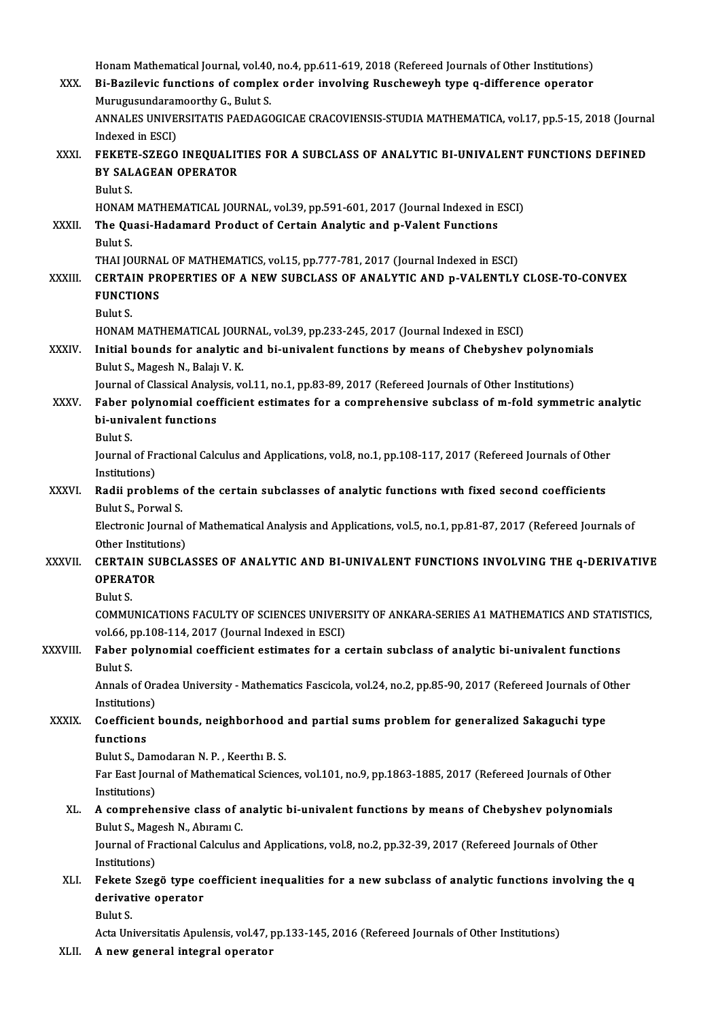Honam Mathematical Journal, vol.40, no.4, pp.611-619, 2018 (Refereed Journals of Other Institutions)<br>Pi Parilavis functions of complex order involving Puschewayh type a difference operator XXX. Bi-Bazilevic functions of complex order involving Ruscheweyh type q-difference operator<br>Murugusundaramoorthy G., Bulut S. Honam Mathematical Journal, vol.40<br>Bi-Bazilevic functions of comple<br>Murugusundaramoorthy G., Bulut S.<br>ANNALES UNIVERSITATIS RAEDACG Bi-Bazilevic functions of complex order involving Ruscheweyh type q-difference operator<br>Murugusundaramoorthy G., Bulut S.<br>ANNALES UNIVERSITATIS PAEDAGOGICAE CRACOVIENSIS-STUDIA MATHEMATICA, vol.17, pp.5-15, 2018 (Journal<br>I Murugusundaran<br>ANNALES UNIVE<br>Indexed in ESCI)<br>EEKETE SZECO ANNALES UNIVERSITATIS PAEDAGOGICAE CRACOVIENSIS-STUDIA MATHEMATICA, vol.17, pp.5-15, 2018 (Journa<br>Indexed in ESCI)<br>XXXI. FEKETE-SZEGO INEQUALITIES FOR A SUBCLASS OF ANALYTIC BI-UNIVALENT FUNCTIONS DEFINED<br>PV SALACEAN OBERA Indexed in ESCI)<br>FEKETE-SZEGO INEQUALIT<br>BY SALAGEAN OPERATOR<br><sup>Pulut S</sup> **FEKETI<br>BY SAL<br>Bulut S.<br>HONAM** BY SALAGEAN OPERATOR<br>Bulut S.<br>HONAM MATHEMATICAL JOURNAL, vol.39, pp.591-601, 2017 (Journal Indexed in ESCI)<br>The Quasi Hadamard Brodust of Cortain Analytis and n Valent Eunstians. Bulut S.<br>HONAM MATHEMATICAL JOURNAL, vol.39, pp.591-601, 2017 (Journal Indexed in I<br>XXXII. The Quasi-Hadamard Product of Certain Analytic and p-Valent Functions HONAM<br>**The Qu**<br>Bulut S.<br>THALLO The Quasi-Hadamard Product of Certain Analytic and p-Valent Functions<br>Bulut S.<br>THAI JOURNAL OF MATHEMATICS, vol.15, pp.777-781, 2017 (Journal Indexed in ESCI)<br>CERTAIN PROPERTIES OF A NEW SURCLASS OF ANALYTIC AND P VALENTLY Bulut S.<br>THAI JOURNAL OF MATHEMATICS, vol.15, pp.777-781, 2017 (Journal Indexed in ESCI)<br>XXXIII. CERTAIN PROPERTIES OF A NEW SUBCLASS OF ANALYTIC AND p-VALENTLY CLOSE-TO-CONVEX<br>EUNCTIONS THAI JOURNA<br>CERTAIN PR<br>FUNCTIONS<br><sup>Pulut S</sup> **CERTA**<br>FUNCT<br>Bulut S.<br>HONAM FUNCTIONS<br>Bulut S.<br>HONAM MATHEMATICAL JOURNAL, vol.39, pp.233-245, 2017 (Journal Indexed in ESCI) Bulut S.<br>HONAM MATHEMATICAL JOURNAL, vol.39, pp.233-245, 2017 (Journal Indexed in ESCI)<br>XXXIV. Initial bounds for analytic and bi-univalent functions by means of Chebyshev polynomials HONAM MATHEMATICAL JOUR<br>Initial bounds for analytic<br>Bulut S., Magesh N., Balajı V. K.<br>Journal of Classisal Analysis va Initial bounds for analytic and bi-univalent functions by means of Chebyshev polynomi<br>Bulut S., Magesh N., Balajı V. K.<br>Journal of Classical Analysis, vol.11, no.1, pp.83-89, 2017 (Refereed Journals of Other Institutions)<br> Bulut S., Magesh N., Balajı V. K.<br>Journal of Classical Analysis, vol.11, no.1, pp.83-89, 2017 (Refereed Journals of Other Institutions)<br>XXXV. Faber polynomial coefficient estimates for a comprehensive subclass of m-fold sy Journal of Classical Analy<br>Faber polynomial coef<br>bi-univalent functions<br><sup>Pulut S</sup> Faber<br>bi-univ<br>Bulut S.<br>Journal bi-univalent functions<br>Bulut S.<br>Journal of Fractional Calculus and Applications, vol.8, no.1, pp.108-117, 2017 (Refereed Journals of Other<br>Institutions) Bulut S.<br>Journal of Fr<br>Institutions)<br>Padii probl Journal of Fractional Calculus and Applications, vol.8, no.1, pp.108-117, 2017 (Refereed Journals of Other<br>Institutions)<br>XXXVI. Radii problems of the certain subclasses of analytic functions with fixed second coefficients<br> Institutions)<br>Radii problems of the certain subclasses of analytic functions with fixed second coefficients<br>Bulut S., Porwal S. Radii problems of the certain subclasses of analytic functions with fixed second coefficients<br>Bulut S., Porwal S.<br>Electronic Journal of Mathematical Analysis and Applications, vol.5, no.1, pp.81-87, 2017 (Refereed Journals Bulut S., Porwal S.<br>Electronic Journal<br>Other Institutions)<br>CERTAIN SUPCLA Electronic Journal of Mathematical Analysis and Applications, vol.5, no.1, pp.81-87, 2017 (Refereed Journals of<br>Other Institutions)<br>XXXVII. CERTAIN SUBCLASSES OF ANALYTIC AND BI-UNIVALENT FUNCTIONS INVOLVING THE q-DERIVATI Other Institut<br>CERTAIN SU<br>OPERATOR<br>Pulut S **CERTA**<br>**OPERA**<br>Bulut S.<br>COMMU OPERATOR<br>Bulut S.<br>COMMUNICATIONS FACULTY OF SCIENCES UNIVERSITY OF ANKARA-SERIES A1 MATHEMATICS AND STATISTICS,<br>vol.66 np.108.114.2017 (Journal Indoved in ESCI) Bulut S.<br>COMMUNICATIONS FACULTY OF SCIENCES UNIVER<br>vol.66, pp.108-114, 2017 (Journal Indexed in ESCI)<br>Eshan polynomial sosffisient estimates for a c COMMUNICATIONS FACULTY OF SCIENCES UNIVERSITY OF ANKARA-SERIES A1 MATHEMATICS AND STATI<br>vol.66, pp.108-114, 2017 (Journal Indexed in ESCI)<br>XXXVIII. Faber polynomial coefficient estimates for a certain subclass of analytic vol.66, pp.108-114, 2017 (Journal Indexed in ESCI)<br>Faber polynomial coefficient estimates for a certain subclass of analytic bi-univalent functions<br>Bulut S. Faber polynomial coefficient estimates for a certain subclass of analytic bi-univalent functions<br>Bulut S.<br>Annals of Oradea University - Mathematics Fascicola, vol.24, no.2, pp.85-90, 2017 (Refereed Journals of Other<br>Instit Bulut S.<br>Annals of Ora<br>Institutions)<br>Coofficiont Annals of Oradea University - Mathematics Fascicola, vol.24, no.2, pp.85-90, 2017 (Refereed Journals of C<br>Institutions)<br>XXXIX. Coefficient bounds, neighborhood and partial sums problem for generalized Sakaguchi type<br>functi Institutions<br>Coefficien<br>functions<br>Pulut S. Da Coefficient bounds, neighborhood<br>functions<br>Bulut S., Damodaran N. P. , Keerthı B. S.<br>Ear Fast Journal of Mathematical Scienc functions<br>Bulut S., Damodaran N. P. , Keerthı B. S.<br>Far East Journal of Mathematical Sciences, vol.101, no.9, pp.1863-1885, 2017 (Refereed Journals of Other<br>Institutions) Bulut S., Dam<br>Far East Jour<br>Institutions)<br>A comprobe Far East Journal of Mathematical Sciences, vol.101, no.9, pp.1863-1885, 2017 (Refereed Journals of Other<br>Institutions)<br>XL. A comprehensive class of analytic bi-univalent functions by means of Chebyshev polynomials<br>Pulyt S. Institutions)<br>A comprehensive class of a<br>Bulut S., Magesh N., Abıramı C.<br>Journal of Exactional Calgulus A comprehensive class of analytic bi-univalent functions by means of Chebyshev polynomia<br>Bulut S., Magesh N., Abıramı C.<br>Journal of Fractional Calculus and Applications, vol.8, no.2, pp.32-39, 2017 (Refereed Journals of Ot Bulut S., Magesh N., Abıramı C.<br>Journal of Fractional Calculus and Applications, vol.8, no.2, pp.32-39, 2017 (Refereed Journals of Other<br>Institutions) Journal of Fractional Calculus and Applications, vol.8, no.2, pp.32-39, 2017 (Refereed Journals of Other<br>Institutions)<br>XLI. Fekete Szegö type coefficient inequalities for a new subclass of analytic functions involving the Institutions)<br>Fekete Szegö type co<br>derivative operator<br><sup>Pulut S</sup> derivative operator<br>Bulut S.

Acta Universitatis Apulensis, vol.47, pp.133-145, 2016 (Refereed Journals of Other Institutions)

XLII. A new general integral operator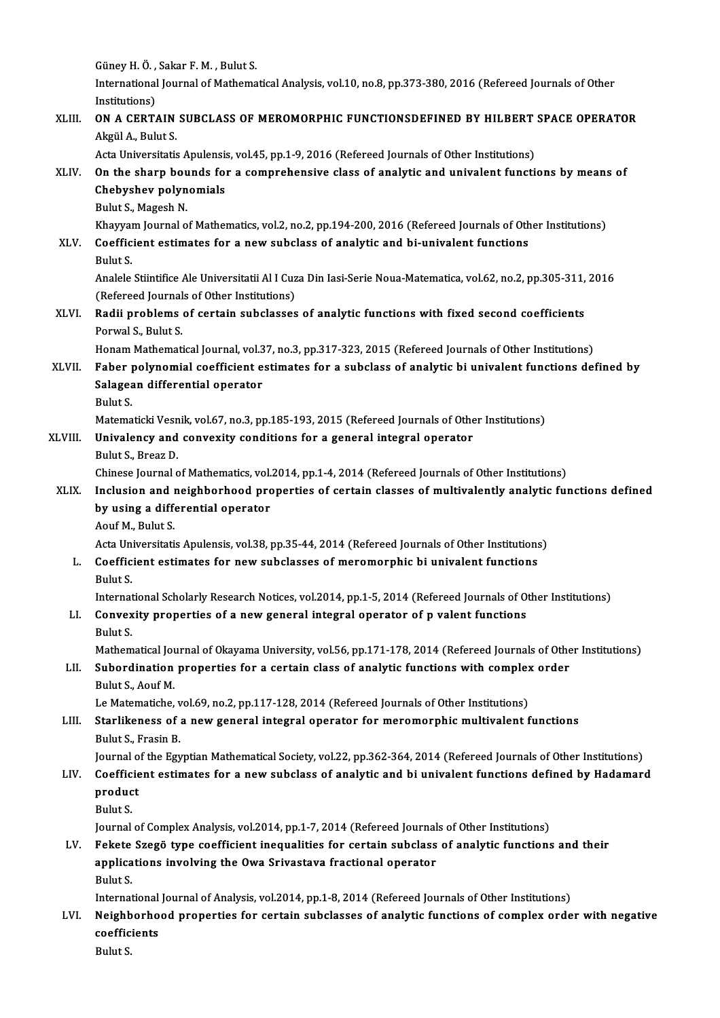Güney H. Ö. , Sakar F. M. , Bulut S.<br>International Journal of Methoma International Journal of Mathematical Analysis, vol.10, no.8, pp.373-380, 2016 (Refereed Journals of Other<br>Institutions) Güney H. Ö. ,<br>International<br>Institutions)<br>ON A CERT XLIII. ON A CERTAIN SUBCLASS OF MEROMORPHIC FUNCTIONSDEFINED BY HILBERT SPACE OPERATOR Akgül A., Bulut S. Acta Universitatis Apulensis, vol.45, pp.1-9, 2016 (Refereed Journals of Other Institutions) Akgül A., Bulut S.<br>Acta Universitatis Apulensis, vol.45, pp.1-9, 2016 (Refereed Journals of Other Institutions)<br>XLIV. On the sharp bounds for a comprehensive class of analytic and univalent functions by means of Acta Universitatis Apulensis<br>On the sharp bounds for<br>Chebyshev polynomials<br>Pulut S. Maggeb N On the sharp bou<br>Chebyshev polyn<br>Bulut S., Magesh N.<br>Khawram Journal o Chebyshev polynomials<br>Bulut S., Magesh N.<br>Khayyam Journal of Mathematics, vol.2, no.2, pp.194-200, 2016 (Refereed Journals of Other Institutions)<br>Coefficient estimates for a new subeless of analytic and bi-univelent functi Bulut S., Magesh N.<br>Khayyam Journal of Mathematics, vol.2, no.2, pp.194-200, 2016 (Refereed Journals of Oth<br>XLV. Coefficient estimates for a new subclass of analytic and bi-univalent functions<br>Bulut S. Khayyar<br>Coeffic<br>Bulut S. Analele Stiintifice Ale Universitatii Al I Cuza Din Iasi-Serie Noua-Matematica, vol.62, no.2, pp.305-311, 2016 Bulut S.<br>Analele Stiintifice Ale Universitatii Al I Cuz<br>(Refereed Journals of Other Institutions)<br>Radii problems of sertain subelasses XLVI. Radii problems of certain subclasses of analytic functions with fixed second coefficients<br>Porwal S., Bulut S. (Refereed Journal)<br>**Radii problems**<br>Porwal S., Bulut S.<br>Honom Mathemati Honam Mathematical Journal, vol.37, no.3, pp.317-323, 2015 (Refereed Journals of Other Institutions) Porwal S., Bulut S.<br>Honam Mathematical Journal, vol.37, no.3, pp.317-323, 2015 (Refereed Journals of Other Institutions)<br>XLVII. Faber polynomial coefficient estimates for a subclass of analytic bi univalent functions defin Honam Mathematical Journal, vol.3<br>Faber polynomial coefficient e<br>Salagean differential operator<br>Pulut S Faber<br>Salagea<br>Bulut S.<br>Matama Salagean differential operator<br>Bulut S.<br>Matematicki Vesnik, vol.67, no.3, pp.185-193, 2015 (Refereed Journals of Other Institutions) Bulut S.<br>Matematicki Vesnik, vol.67, no.3, pp.185-193, 2015 (Refereed Journals of Othe<br>XLVIII. Univalency and convexity conditions for a general integral operator<br>Pulut S. Progr D. Matematicki Vesn<br><mark>Univalency and</mark><br>Bulut S., Breaz D.<br>Chinese Journal e Univalency and convexity conditions for a general integral operator<br>Bulut S., Breaz D.<br>Chinese Journal of Mathematics, vol.2014, pp.1-4, 2014 (Refereed Journals of Other Institutions)<br>Inclusion and neighborhood proporties Bulut S., Breaz D.<br>Chinese Journal of Mathematics, vol.2014, pp.1-4, 2014 (Refereed Journals of Other Institutions)<br>XLIX. Inclusion and neighborhood properties of certain classes of multivalently analytic functions defined Chinese Journal of Mathematics, vol.<br>Inclusion and neighborhood pro<br>by using a differential operator<br>Aouf M. Pulut S. Inclusion and 1<br>by using a diff<br>Aouf M., Bulut S.<br>Acto Universitati by using a differential operator<br>Aouf M., Bulut S.<br>Acta Universitatis Apulensis, vol.38, pp.35-44, 2014 (Refereed Journals of Other Institutions) Aouf M., Bulut S.<br>Acta Universitatis Apulensis, vol.38, pp.35-44, 2014 (Refereed Journals of Other Institutions<br>L. Coefficient estimates for new subclasses of meromorphic bi univalent functions<br>Rulut S Acta Un<br>Coeffic<br>Bulut S.<br>Internet Bulut S.<br>International Scholarly Research Notices, vol.2014, pp.1-5, 2014 (Refereed Journals of Other Institutions) Bulut S.<br>International Scholarly Research Notices, vol.2014, pp.1-5, 2014 (Refereed Journals of Or<br>LI. Convexity properties of a new general integral operator of p valent functions<br>Rulut S Internat<br>Convex<br>Bulut S.<br>Mathem Convexity properties of a new general integral operator of p valent functions<br>Bulut S.<br>Mathematical Journal of Okayama University, vol.56, pp.171-178, 2014 (Refereed Journals of Other Institutions) Bulut S.<br>Mathematical Journal of Okayama University, vol.56, pp.171-178, 2014 (Refereed Journals of Othe<br>LII. Subordination properties for a certain class of analytic functions with complex order<br>Rulut S. Aqu<sup>e</sup>M Mathematical Jou<br>Subordination<br>Bulut S., Aouf M.<br>Le Matematishe Subordination properties for a certain class of analytic functions with complex<br>Bulut S., Aouf M.<br>Le Matematiche, vol.69, no.2, pp.117-128, 2014 (Refereed Journals of Other Institutions)<br>Starlikeness of a new seneral integ Bulut S., Aouf M.<br>Le Matematiche, vol.69, no.2, pp.117-128, 2014 (Refereed Journals of Other Institutions)<br>LIII. Starlikeness of a new general integral operator for meromorphic multivalent functions<br>Pulut S. Fresin P. Le Matematiche, v<br>Starlikeness of<br>Bulut S., Frasin B.<br>Journal of the Egy Starlikeness of a new general integral operator for meromorphic multivalent functions<br>Bulut S., Frasin B.<br>Journal of the Egyptian Mathematical Society, vol.22, pp.362-364, 2014 (Refereed Journals of Other Institutions)<br>Coe Bulut S., Frasin B.<br>Journal of the Egyptian Mathematical Society, vol.22, pp.362-364, 2014 (Refereed Journals of Other Institutions)<br>LIV. Coefficient estimates for a new subclass of analytic and bi univalent functions Journal o<br><mark>Coefficie</mark><br>product<br><sup>Pulut S</sup> Coeffic<br>produc<br>Bulut S.<br>Journal Bulut S.<br>Journal of Complex Analysis, vol.2014, pp.1-7, 2014 (Refereed Journals of Other Institutions) Bulut S.<br>Journal of Complex Analysis, vol.2014, pp.1-7, 2014 (Refereed Journals of Other Institutions)<br>LV. Fekete Szegö type coefficient inequalities for certain subclass of analytic functions and their<br>annisotions involvi Journal of Complex Analysis, vol.2014, pp.1-7, 2014 (Refereed Journal<br>Fekete Szegö type coefficient inequalities for certain subclass<br>applications involving the Owa Srivastava fractional operator<br>Pulut S Fekete<br>applica<br>Bulut S. applications involving the Owa Srivastava fractional operator<br>Bulut S.<br>International Journal of Analysis, vol.2014, pp.1-8, 2014 (Refereed Journals of Other Institutions)<br>Naishborhood proporties for sertain subglasses of a Bulut S.<br>International Journal of Analysis, vol.2014, pp.1-8, 2014 (Refereed Journals of Other Institutions)<br>LVI. Neighborhood properties for certain subclasses of analytic functions of complex order with negative

### International<br>Neighborho<br>coefficients<br><sup>Pulut S</sup> coefficients<br>Bulut S.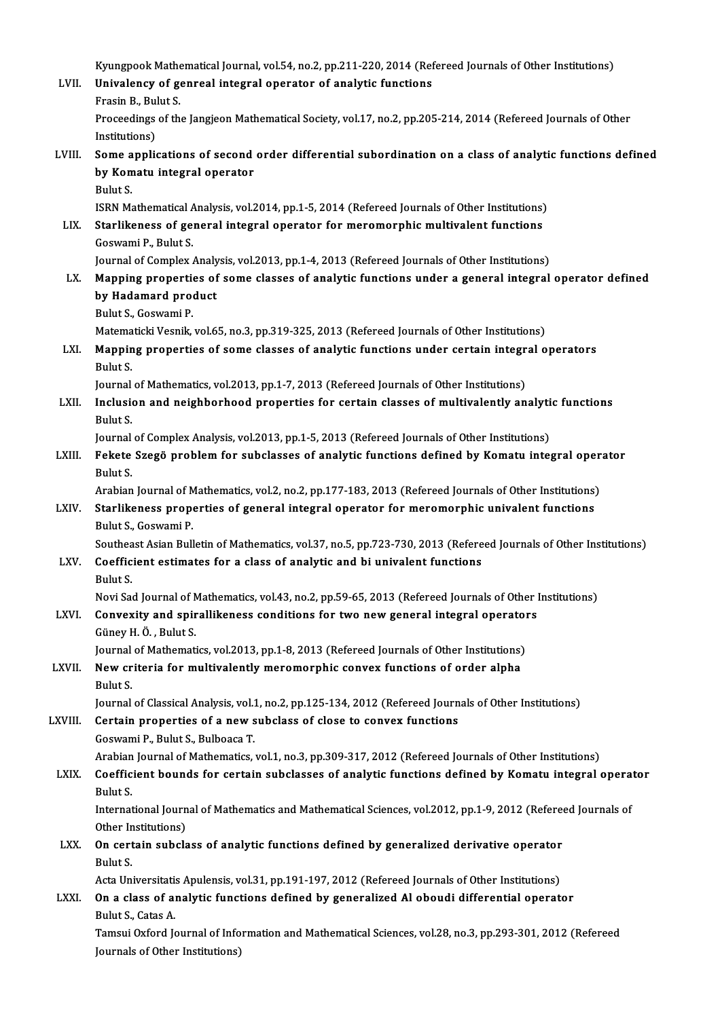Kyungpook Mathematical Journal, vol.54, no.2, pp.211-220, 2014 (Refereed Journals of Other Institutions)<br>Univelanev of Genreel integral operator of enalytic functions

- Kyungpook Mathematical Journal, vol.54, no.2, pp.211-220, 2014 (Ref<br>LVII. Univalency of genreal integral operator of analytic functions Kyungpook Mathe<br>Univalency of ge<br>Frasin B., Bulut S.<br>Proceedings of th Univalency of genreal integral operator of analytic functions<br>Frasin B., Bulut S.<br>Proceedings of the Jangjeon Mathematical Society, vol.17, no.2, pp.205-214, 2014 (Refereed Journals of Other<br>Institutions) Frasin B., Bul<br>Proceedings<br>Institutions)<br>Some annli
- Institutions)<br>LVIII. Some applications of second order differential subordination on a class of analytic functions defined Institutions)<br>Some applications of second<br>by Komatu integral operator<br>Pulut S Some a<br>by Kom<br>Bulut S.<br>ISBN M4 by Komatu integral operator<br>Bulut S.<br>ISRN Mathematical Analysis, vol.2014, pp.1-5, 2014 (Refereed Journals of Other Institutions)<br>Starlikeness of seneral integral operator for meromornhis multivalent functions.

Bulut S.<br>ISRN Mathematical Analysis, vol.2014, pp.1-5, 2014 (Refereed Journals of Other Institutions)<br>LIX. Starlikeness of general integral operator for meromorphic multivalent functions<br>Cosusmi B. Bulut S. **ISRN Mathematical A**<br>**Starlikeness of ge**<br>Goswami P., Bulut S.<br>Journal of Complex Starlikeness of general integral operator for meromorphic multivalent functions<br>Goswami P., Bulut S.<br>Journal of Complex Analysis, vol.2013, pp.1-4, 2013 (Refereed Journals of Other Institutions)<br>Manning proportios of some Goswami P., Bulut S.<br>Journal of Complex Analysis, vol.2013, pp.1-4, 2013 (Refereed Journals of Other Institutions)<br>LX. Mapping properties of some classes of analytic functions under a general integral operator defined

- **Journal of Complex Analy<br>Mapping properties of<br>by Hadamard product**<br>Pulut S. Cosurmi P Mapping properti<mark>t</mark><br>by Hadamard pro<br>Bulut S., Goswami P.<br>Matamatiaki Vesnik by Hadamard product<br>Bulut S., Goswami P.<br>Matematicki Vesnik, vol.65, no.3, pp.319-325, 2013 (Refereed Journals of Other Institutions)<br>Manning proporties of some classes of analytic functions under sertain integral o
	-

### Bulut S., Goswami P.<br>Matematicki Vesnik, vol.65, no.3, pp.319-325, 2013 (Refereed Journals of Other Institutions)<br>LXI. Mapping properties of some classes of analytic functions under certain integral operators<br>Bulut S. Matema<br><mark>Mappin</mark><br>Bulut S.

Journal of Mathematics, vol.2013, pp.1-7, 2013 (Refereed Journals of Other Institutions)

Bulut S.<br>Journal of Mathematics, vol.2013, pp.1-7, 2013 (Refereed Journals of Other Institutions)<br>LXII. Inclusion and neighborhood properties for certain classes of multivalently analytic functions<br>Rulyt S Journal<br><mark>Inclusie</mark><br>Bulut S.<br>Journal Inclusion and neighborhood properties for certain classes of multivalently analyti<br>Bulut S.<br>Journal of Complex Analysis, vol.2013, pp.1-5, 2013 (Refereed Journals of Other Institutions)<br>Fekste Szegö problem for subslasses

### Bulut S.<br>Journal of Complex Analysis, vol.2013, pp.1-5, 2013 (Refereed Journals of Other Institutions)<br>LXIII. Fekete Szegö problem for subclasses of analytic functions defined by Komatu integral operator Journal<br>Fekete<br>Bulut S.<br>Arabian Fekete Szegö problem for subclasses of analytic functions defined by Komatu integral oper<br>Bulut S.<br>Arabian Journal of Mathematics, vol.2, no.2, pp.177-183, 2013 (Refereed Journals of Other Institutions)<br>Starlikaness propor

Arabian Journal of Mathematics, vol.2, no.2, pp.177-183, 2013 (Refereed Journals of Other Institutions)

Bulut S.<br>Arabian Journal of Mathematics, vol.2, no.2, pp.177-183, 2013 (Refereed Journals of Other Institutions)<br>LXIV. Starlikeness properties of general integral operator for meromorphic univalent functions<br>Bulut S., Gosw

Southeast Asian Bulletin of Mathematics, vol.37, no.5, pp.723-730, 2013 (Refereed Journals of Other Institutions)

# Bulut S., Goswami P.<br>Southeast Asian Bulletin of Mathematics, vol.37, no.5, pp.723-730, 2013 (Refere<br>LXV. Coefficient estimates for a class of analytic and bi univalent functions<br>Rulyt S. Southea<br>Coeffic<br>Bulut S.

Bulut S.<br>Novi Sad Journal of Mathematics, vol.43, no.2, pp.59-65, 2013 (Refereed Journals of Other Institutions)

### Bulut S.<br>Novi Sad Journal of Mathematics, vol.43, no.2, pp.59-65, 2013 (Refereed Journals of Other )<br>LXVI. Convexity and spirallikeness conditions for two new general integral operators<br>Günev H.Ö. Bulut S. Novi Sad Journal of N<br>**Convexity and spir**<br>Güney H. Ö. , Bulut S.<br>Journal of Mathemati Convexity and spirallikeness conditions for two new general integral operator<br>Güney H. Ö. , Bulut S.<br>Journal of Mathematics, vol.2013, pp.1-8, 2013 (Refereed Journals of Other Institutions)<br>New gritoria for multivelently m

### Güney H. Ö. , Bulut S.<br>Journal of Mathematics, vol.2013, pp.1-8, 2013 (Refereed Journals of Other Institutions)<br>LXVII. New criteria for multivalently meromorphic convex functions of order alpha Journal<br><mark>New cr</mark><br>Bulut S.<br>Journal New criteria for multivalently meromorphic convex functions of order alpha<br>Bulut S.<br>Journal of Classical Analysis, vol.1, no.2, pp.125-134, 2012 (Refereed Journals of Other Institutions)<br>Certain properties of a new subslas

#### Bulut S.<br>Journal of Classical Analysis, vol.1, no.2, pp.125-134, 2012 (Refereed Journ<br>LXVIII. Certain properties of a new subclass of close to convex functions<br>Cosummi B. Bulut S. Bulbosca T. Journal of Classical Analysis, vol.1<br>Certain properties of a new s<br>Goswami P., Bulut S., Bulboaca T.<br>Arabian Journal of Mathematics Certain properties of a new subclass of close to convex functions<br>Goswami P., Bulut S., Bulboaca T.<br>Arabian Journal of Mathematics, vol.1, no.3, pp.309-317, 2012 (Refereed Journals of Other Institutions)

### Goswami P., Bulut S., Bulboaca T.<br>Arabian Journal of Mathematics, vol.1, no.3, pp.309-317, 2012 (Refereed Journals of Other Institutions)<br>LXIX. Coefficient bounds for certain subclasses of analytic functions defined by Kom Arabian<br>Coeffic<br>Bulut S.<br>Internet Coefficient bounds for certain subclasses of analytic functions defined by Komatu integral opera<br>Bulut S.<br>International Journal of Mathematics and Mathematical Sciences, vol.2012, pp.1-9, 2012 (Refereed Journals of<br>Other I

Bulut S.<br>International Journal of Mathematics and Mathematical Sciences, vol.2012, pp.1-9, 2012 (Refereed Journals of<br>Other Institutions) International Journal of Mathematics and Mathematical Sciences, vol.2012, pp.1-9, 2012 (Refered Other Institutions)<br>LXX. On certain subclass of analytic functions defined by generalized derivative operator<br>Pulut S

# Other In<br>On cert<br>Bulut S. On certain subclass of analytic functions defined by generalized derivative operator<br>Bulut S.<br>Acta Universitatis Apulensis, vol.31, pp.191-197, 2012 (Refereed Journals of Other Institutions)<br>On a slass of analytis function

### Bulut S.<br>Acta Universitatis Apulensis, vol.31, pp.191-197, 2012 (Refereed Journals of Other Institutions)<br>LXXI. On a class of analytic functions defined by generalized Al oboudi differential operator<br>Pulut S. Cetes A Acta Universitatis<br>**On a class of a**<br>Bulut S., Catas A.<br>Tamaui Orford Is On a class of analytic functions defined by generalized Al oboudi differential operator<br>Bulut S., Catas A.<br>Tamsui Oxford Journal of Information and Mathematical Sciences, vol.28, no.3, pp.293-301, 2012 (Refereed<br>Journals o

Bulut S., Catas A.<br>Tamsui Oxford Journal of Info<br>Journals of Other Institutions)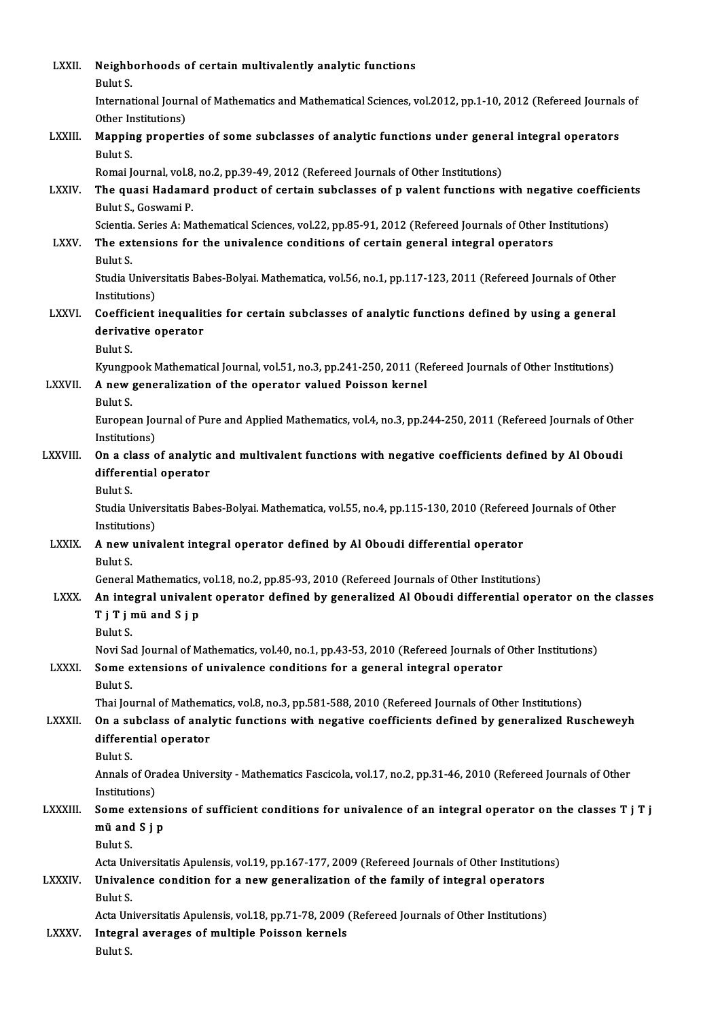| LXXII.         | Neighborhoods of certain multivalently analytic functions<br>Bulut S.                                                                                                                               |
|----------------|-----------------------------------------------------------------------------------------------------------------------------------------------------------------------------------------------------|
|                | International Journal of Mathematics and Mathematical Sciences, vol.2012, pp.1-10, 2012 (Refereed Journals of<br>Other Institutions)                                                                |
| LXXIII.        | Mapping properties of some subclasses of analytic functions under general integral operators<br>Bulut S.                                                                                            |
| LXXIV.         | Romai Journal, vol.8, no.2, pp.39-49, 2012 (Refereed Journals of Other Institutions)<br>The quasi Hadamard product of certain subclasses of p valent functions with negative coefficients           |
|                | Bulut S., Goswami P.<br>Scientia. Series A: Mathematical Sciences, vol.22, pp.85-91, 2012 (Refereed Journals of Other Institutions)                                                                 |
| LXXV.          | The extensions for the univalence conditions of certain general integral operators<br>Bulut S.                                                                                                      |
|                | Studia Universitatis Babes-Bolyai. Mathematica, vol.56, no.1, pp.117-123, 2011 (Refereed Journals of Other<br>Institutions)                                                                         |
| <b>LXXVI</b>   | Coefficient inequalities for certain subclasses of analytic functions defined by using a general<br>derivative operator                                                                             |
|                | Bulut S.<br>Kyungpook Mathematical Journal, vol.51, no.3, pp.241-250, 2011 (Refereed Journals of Other Institutions)                                                                                |
| LXXVII.        | A new generalization of the operator valued Poisson kernel<br>Bulut S.                                                                                                                              |
|                | European Journal of Pure and Applied Mathematics, vol.4, no.3, pp.244-250, 2011 (Refereed Journals of Other<br>Institutions)                                                                        |
| LXXVIII.       | On a class of analytic and multivalent functions with negative coefficients defined by Al Oboudi<br>differential operator                                                                           |
|                | Bulut S.<br>Studia Universitatis Babes-Bolyai. Mathematica, vol.55, no.4, pp.115-130, 2010 (Refereed Journals of Other                                                                              |
|                | Institutions)                                                                                                                                                                                       |
| <b>LXXIX</b>   | A new univalent integral operator defined by Al Oboudi differential operator<br><b>Bulut S</b>                                                                                                      |
| <b>LXXX</b>    | General Mathematics, vol.18, no.2, pp.85-93, 2010 (Refereed Journals of Other Institutions)<br>An integral univalent operator defined by generalized Al Oboudi differential operator on the classes |
|                | T j T j mü and S j p<br>Bulut S.                                                                                                                                                                    |
| <b>LXXXI</b>   | Novi Sad Journal of Mathematics, vol.40, no.1, pp.43-53, 2010 (Refereed Journals of Other Institutions)<br>Some extensions of univalence conditions for a general integral operator                 |
|                | Bulut S.<br>Thai Journal of Mathematics, vol.8, no.3, pp.581-588, 2010 (Refereed Journals of Other Institutions)                                                                                    |
| LXXXII.        | On a subclass of analytic functions with negative coefficients defined by generalized Ruscheweyh<br>differential operator                                                                           |
|                | Bulut S.<br>Annals of Oradea University - Mathematics Fascicola, vol.17, no.2, pp.31-46, 2010 (Refereed Journals of Other<br>Institutions)                                                          |
| LXXXIII.       | Some extensions of sufficient conditions for univalence of an integral operator on the classes T j T j<br>mü and S j p                                                                              |
|                | Bulut S.                                                                                                                                                                                            |
| <b>LXXXIV.</b> | Acta Universitatis Apulensis, vol.19, pp.167-177, 2009 (Refereed Journals of Other Institutions)<br>Univalence condition for a new generalization of the family of integral operators               |
|                | Bulut S.<br>Acta Universitatis Apulensis, vol.18, pp.71-78, 2009 (Refereed Journals of Other Institutions)                                                                                          |
| LXXXV.         | Integral averages of multiple Poisson kernels<br>Bulut S.                                                                                                                                           |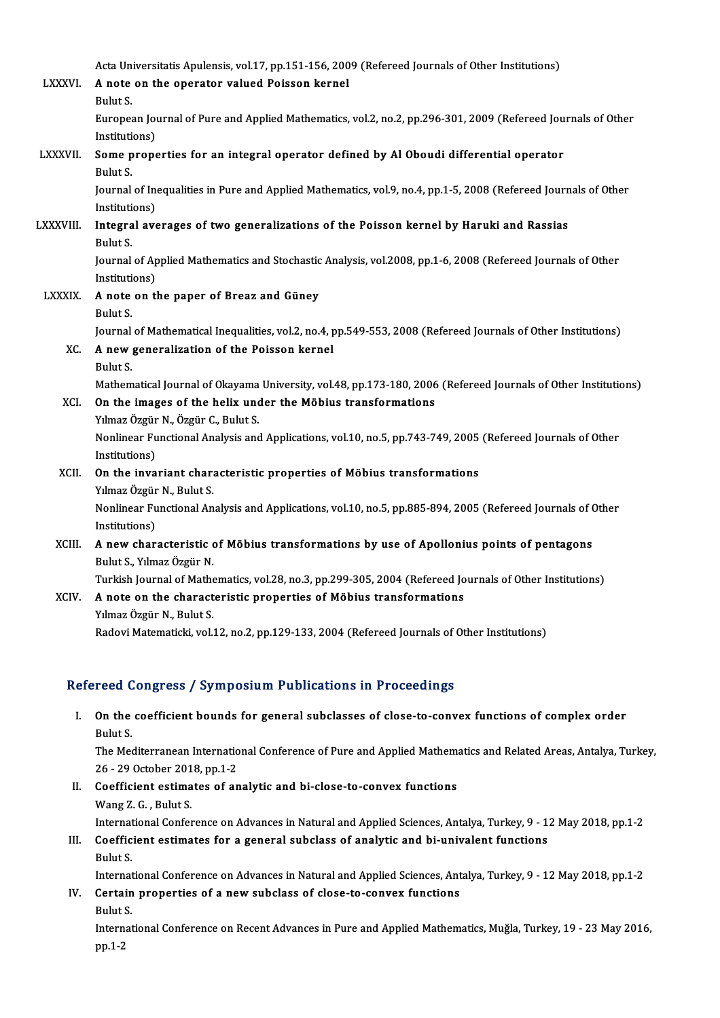Acta Universitatis Apulensis, vol.17, pp.151-156, 2009 (Refereed Journals of Other Institutions)<br>A note on the energter valued Beissen kernel

|                 | Acta Universitatis Apulensis, vol.17, pp.151-156, 2009 (Refereed Journals of Other Institutions)               |
|-----------------|----------------------------------------------------------------------------------------------------------------|
| <b>LXXXVI</b> . | A note on the operator valued Poisson kernel                                                                   |
|                 | Bulut S.                                                                                                       |
|                 | European Journal of Pure and Applied Mathematics, vol.2, no.2, pp.296-301, 2009 (Refereed Journals of Other    |
| LXXXVII.        | Institutions)<br>Some properties for an integral operator defined by Al Oboudi differential operator           |
|                 | Bulut S.                                                                                                       |
|                 | Journal of Inequalities in Pure and Applied Mathematics, vol.9, no.4, pp.1-5, 2008 (Refereed Journals of Other |
|                 | Institutions)                                                                                                  |
| <b>LXXXVIII</b> | Integral averages of two generalizations of the Poisson kernel by Haruki and Rassias                           |
|                 | Bulut S                                                                                                        |
|                 | Journal of Applied Mathematics and Stochastic Analysis, vol.2008, pp.1-6, 2008 (Refereed Journals of Other     |
|                 | Institutions)                                                                                                  |
| LXXXIX.         | A note on the paper of Breaz and Güney                                                                         |
|                 | Bulut S.                                                                                                       |
|                 | Journal of Mathematical Inequalities, vol.2, no.4, pp.549-553, 2008 (Refereed Journals of Other Institutions)  |
| XC.             | A new generalization of the Poisson kernel                                                                     |
|                 | Bulut S.                                                                                                       |
|                 | Mathematical Journal of Okayama University, vol.48, pp.173-180, 2006 (Refereed Journals of Other Institutions) |
| XCI.            | On the images of the helix under the Möbius transformations                                                    |
|                 | Yılmaz Özgür N., Özgür C., Bulut S.                                                                            |
|                 | Nonlinear Functional Analysis and Applications, vol.10, no.5, pp.743-749, 2005 (Refereed Journals of Other     |
|                 | Institutions)                                                                                                  |
| XCII.           | On the invariant characteristic properties of Möbius transformations                                           |
|                 | Yılmaz Özgür N., Bulut S.                                                                                      |
|                 | Nonlinear Functional Analysis and Applications, vol.10, no.5, pp.885-894, 2005 (Refereed Journals of Other     |
|                 | Institutions)                                                                                                  |
| XCIII.          | A new characteristic of Möbius transformations by use of Apollonius points of pentagons                        |
|                 | Bulut S., Yılmaz Özgür N.                                                                                      |
|                 | Turkish Journal of Mathematics, vol.28, no.3, pp.299-305, 2004 (Refereed Journals of Other Institutions)       |
| XCIV.           | A note on the characteristic properties of Möbius transformations<br>Yılmaz Özgür N., Bulut S.                 |
|                 | Radovi Matematicki, vol.12, no.2, pp.129-133, 2004 (Refereed Journals of Other Institutions)                   |
|                 |                                                                                                                |

| Refereed Congress / Symposium Publications in Proceedings |                                                                                                                |  |
|-----------------------------------------------------------|----------------------------------------------------------------------------------------------------------------|--|
|                                                           | I. On the coefficient bounds for general subclasses of close-to-convex functions of complex order              |  |
|                                                           | Bulut S.                                                                                                       |  |
|                                                           | The Mediterranean International Conference of Pure and Applied Mathematics and Related Areas, Antalya, Turkey, |  |
|                                                           | 26 - 29 October 2018, pp 1-2                                                                                   |  |
| Н. —                                                      | Coefficient estimates of analytic and bi-close-to-convex functions                                             |  |
|                                                           | $M_{\rm max}$ 7 $\Gamma$ Dubt $\Gamma$                                                                         |  |

- Wang Z.G., Bulut S. Coefficient estimates of analytic and bi-close-to-convex functions<br>Wang Z. G. , Bulut S.<br>International Conference on Advances in Natural and Applied Sciences, Antalya, Turkey, 9 - 12 May 2018, pp.1-2<br>Coefficient estimates II. Coefficient estimates of analytic and bi-close-to-convex functions<br>Wang Z. G., Bulut S.<br>International Conference on Advances in Natural and Applied Sciences, Antalya, Turkey, 9 - 1<br>III. Coefficient estimates for a gene
- Internat<br>Coeffic<br>Bulut S.<br>Internat Coefficient estimates for a general subclass of analytic and bi-univalent functions<br>Bulut S.<br>International Conference on Advances in Natural and Applied Sciences, Antalya, Turkey, 9 - 12 May 2018, pp.1-2<br>Certain properties

IV. Certain properties of a new subclass of close-to-convex functions<br>Bulut S. Internat<br>Certain<br>Bulut S.<br>Internat Certain properties of a new subclass of close-to-convex functions<br>Bulut S.<br>International Conference on Recent Advances in Pure and Applied Mathematics, Muğla, Turkey, 19 - 23 May 2016,<br>nn 1 2

Bulut !<br>Intern<br>pp.1-2